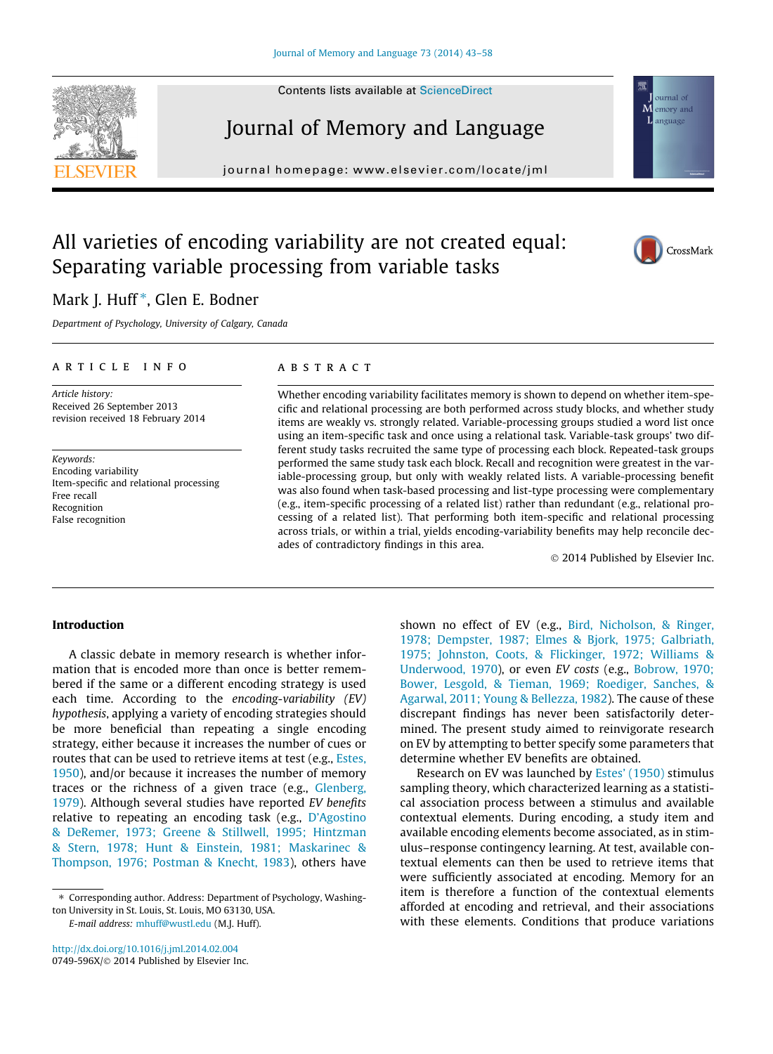Contents lists available at [ScienceDirect](http://www.sciencedirect.com/science/journal/0749596X)





journal homepage: www.el [sevier.com/locate/jml](http://www.elsevier.com/locate/jml)



CrossMark

ournal of M emory and L anguage

# All varieties of encoding variability are not created equal: Separating variable processing from variable tasks

## Mark J. Huff \*, Glen E. Bodner

Department of Psychology, University of Calgary, Canada

#### article info

Article history: Received 26 September 2013 revision received 18 February 2014

Keywords: Encoding variability Item-specific and relational processing Free recall Recognition False recognition

## **ABSTRACT**

Whether encoding variability facilitates memory is shown to depend on whether item-specific and relational processing are both performed across study blocks, and whether study items are weakly vs. strongly related. Variable-processing groups studied a word list once using an item-specific task and once using a relational task. Variable-task groups' two different study tasks recruited the same type of processing each block. Repeated-task groups performed the same study task each block. Recall and recognition were greatest in the variable-processing group, but only with weakly related lists. A variable-processing benefit was also found when task-based processing and list-type processing were complementary (e.g., item-specific processing of a related list) rather than redundant (e.g., relational processing of a related list). That performing both item-specific and relational processing across trials, or within a trial, yields encoding-variability benefits may help reconcile decades of contradictory findings in this area.

- 2014 Published by Elsevier Inc.

## Introduction

A classic debate in memory research is whether information that is encoded more than once is better remembered if the same or a different encoding strategy is used each time. According to the encoding-variability (EV) hypothesis, applying a variety of encoding strategies should be more beneficial than repeating a single encoding strategy, either because it increases the number of cues or routes that can be used to retrieve items at test (e.g., [Estes,](#page-14-0) [1950\)](#page-14-0), and/or because it increases the number of memory traces or the richness of a given trace (e.g., [Glenberg,](#page-14-0) [1979\)](#page-14-0). Although several studies have reported EV benefits relative to repeating an encoding task (e.g., [D'Agostino](#page-14-0) [& DeRemer, 1973; Greene & Stillwell, 1995; Hintzman](#page-14-0) [& Stern, 1978; Hunt & Einstein, 1981; Maskarinec &](#page-14-0) [Thompson, 1976; Postman & Knecht, 1983](#page-14-0)), others have

shown no effect of EV (e.g., [Bird, Nicholson, & Ringer,](#page-14-0) [1978; Dempster, 1987; Elmes & Bjork, 1975; Galbriath,](#page-14-0) [1975; Johnston, Coots, & Flickinger, 1972; Williams &](#page-14-0) [Underwood, 1970\)](#page-14-0), or even EV costs (e.g., [Bobrow, 1970;](#page-14-0) [Bower, Lesgold, & Tieman, 1969; Roediger, Sanches, &](#page-14-0) [Agarwal, 2011; Young & Bellezza, 1982\)](#page-14-0). The cause of these discrepant findings has never been satisfactorily determined. The present study aimed to reinvigorate research on EV by attempting to better specify some parameters that determine whether EV benefits are obtained.

Research on EV was launched by [Estes' \(1950\)](#page-14-0) stimulus sampling theory, which characterized learning as a statistical association process between a stimulus and available contextual elements. During encoding, a study item and available encoding elements become associated, as in stimulus–response contingency learning. At test, available contextual elements can then be used to retrieve items that were sufficiently associated at encoding. Memory for an item is therefore a function of the contextual elements afforded at encoding and retrieval, and their associations with these elements. Conditions that produce variations

<sup>⇑</sup> Corresponding author. Address: Department of Psychology, Washington University in St. Louis, St. Louis, MO 63130, USA.

E-mail address: [mhuff@wustl.edu](mailto:mhuff@wustl.edu) (M.J. Huff).

<http://dx.doi.org/10.1016/j.jml.2014.02.004> 0749-596X/© 2014 Published by Elsevier Inc.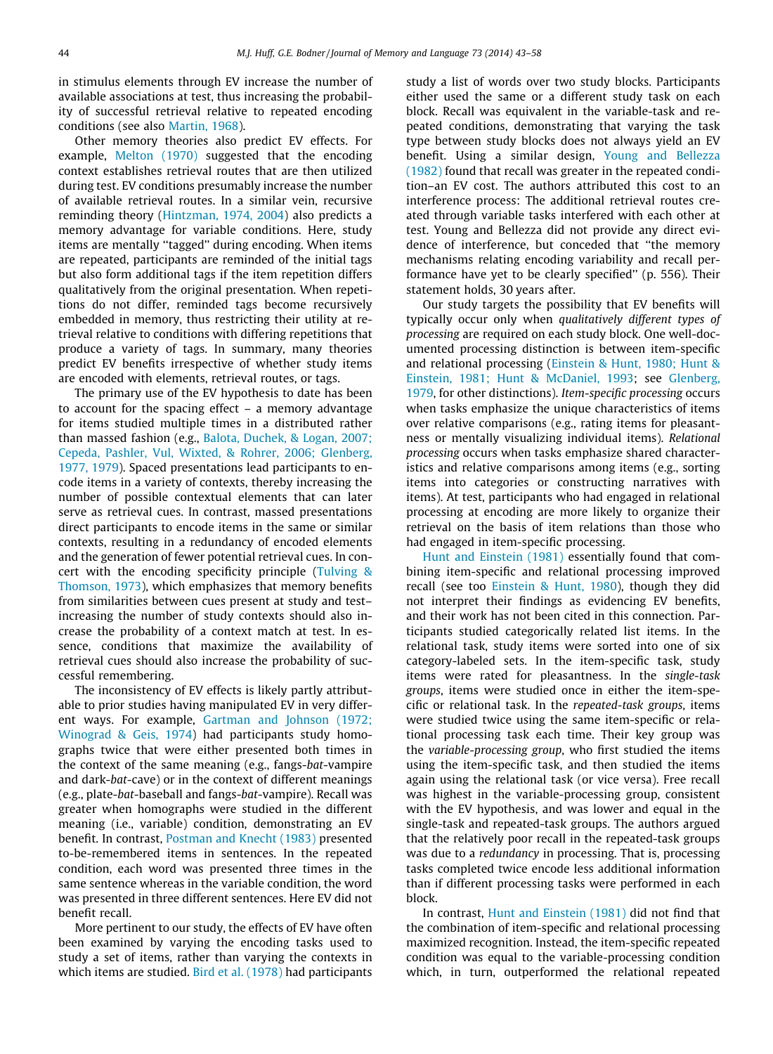in stimulus elements through EV increase the number of available associations at test, thus increasing the probability of successful retrieval relative to repeated encoding conditions (see also [Martin, 1968](#page-15-0)).

Other memory theories also predict EV effects. For example, [Melton \(1970\)](#page-15-0) suggested that the encoding context establishes retrieval routes that are then utilized during test. EV conditions presumably increase the number of available retrieval routes. In a similar vein, recursive reminding theory ([Hintzman, 1974, 2004](#page-14-0)) also predicts a memory advantage for variable conditions. Here, study items are mentally ''tagged'' during encoding. When items are repeated, participants are reminded of the initial tags but also form additional tags if the item repetition differs qualitatively from the original presentation. When repetitions do not differ, reminded tags become recursively embedded in memory, thus restricting their utility at retrieval relative to conditions with differing repetitions that produce a variety of tags. In summary, many theories predict EV benefits irrespective of whether study items are encoded with elements, retrieval routes, or tags.

The primary use of the EV hypothesis to date has been to account for the spacing effect – a memory advantage for items studied multiple times in a distributed rather than massed fashion (e.g., [Balota, Duchek, & Logan, 2007;](#page-14-0) [Cepeda, Pashler, Vul, Wixted, & Rohrer, 2006; Glenberg,](#page-14-0) [1977, 1979\)](#page-14-0). Spaced presentations lead participants to encode items in a variety of contexts, thereby increasing the number of possible contextual elements that can later serve as retrieval cues. In contrast, massed presentations direct participants to encode items in the same or similar contexts, resulting in a redundancy of encoded elements and the generation of fewer potential retrieval cues. In concert with the encoding specificity principle ([Tulving &](#page-15-0) [Thomson, 1973\)](#page-15-0), which emphasizes that memory benefits from similarities between cues present at study and test– increasing the number of study contexts should also increase the probability of a context match at test. In essence, conditions that maximize the availability of retrieval cues should also increase the probability of successful remembering.

The inconsistency of EV effects is likely partly attributable to prior studies having manipulated EV in very different ways. For example, [Gartman and Johnson \(1972;](#page-14-0) [Winograd & Geis, 1974](#page-14-0)) had participants study homographs twice that were either presented both times in the context of the same meaning (e.g., fangs-bat-vampire and dark-bat-cave) or in the context of different meanings (e.g., plate-bat-baseball and fangs-bat-vampire). Recall was greater when homographs were studied in the different meaning (i.e., variable) condition, demonstrating an EV benefit. In contrast, [Postman and Knecht \(1983\)](#page-15-0) presented to-be-remembered items in sentences. In the repeated condition, each word was presented three times in the same sentence whereas in the variable condition, the word was presented in three different sentences. Here EV did not benefit recall.

More pertinent to our study, the effects of EV have often been examined by varying the encoding tasks used to study a set of items, rather than varying the contexts in which items are studied. [Bird et al. \(1978\)](#page-14-0) had participants study a list of words over two study blocks. Participants either used the same or a different study task on each block. Recall was equivalent in the variable-task and repeated conditions, demonstrating that varying the task type between study blocks does not always yield an EV benefit. Using a similar design, [Young and Bellezza](#page-15-0) [\(1982\)](#page-15-0) found that recall was greater in the repeated condition–an EV cost. The authors attributed this cost to an interference process: The additional retrieval routes created through variable tasks interfered with each other at test. Young and Bellezza did not provide any direct evidence of interference, but conceded that ''the memory mechanisms relating encoding variability and recall performance have yet to be clearly specified'' (p. 556). Their statement holds, 30 years after.

Our study targets the possibility that EV benefits will typically occur only when qualitatively different types of processing are required on each study block. One well-documented processing distinction is between item-specific and relational processing ([Einstein & Hunt, 1980; Hunt &](#page-14-0) [Einstein, 1981; Hunt & McDaniel, 1993](#page-14-0); see [Glenberg,](#page-14-0) [1979](#page-14-0), for other distinctions). Item-specific processing occurs when tasks emphasize the unique characteristics of items over relative comparisons (e.g., rating items for pleasantness or mentally visualizing individual items). Relational processing occurs when tasks emphasize shared characteristics and relative comparisons among items (e.g., sorting items into categories or constructing narratives with items). At test, participants who had engaged in relational processing at encoding are more likely to organize their retrieval on the basis of item relations than those who had engaged in item-specific processing.

[Hunt and Einstein \(1981\)](#page-15-0) essentially found that combining item-specific and relational processing improved recall (see too [Einstein & Hunt, 1980\)](#page-14-0), though they did not interpret their findings as evidencing EV benefits, and their work has not been cited in this connection. Participants studied categorically related list items. In the relational task, study items were sorted into one of six category-labeled sets. In the item-specific task, study items were rated for pleasantness. In the single-task groups, items were studied once in either the item-specific or relational task. In the repeated-task groups, items were studied twice using the same item-specific or relational processing task each time. Their key group was the variable-processing group, who first studied the items using the item-specific task, and then studied the items again using the relational task (or vice versa). Free recall was highest in the variable-processing group, consistent with the EV hypothesis, and was lower and equal in the single-task and repeated-task groups. The authors argued that the relatively poor recall in the repeated-task groups was due to a redundancy in processing. That is, processing tasks completed twice encode less additional information than if different processing tasks were performed in each block.

In contrast, [Hunt and Einstein \(1981\)](#page-15-0) did not find that the combination of item-specific and relational processing maximized recognition. Instead, the item-specific repeated condition was equal to the variable-processing condition which, in turn, outperformed the relational repeated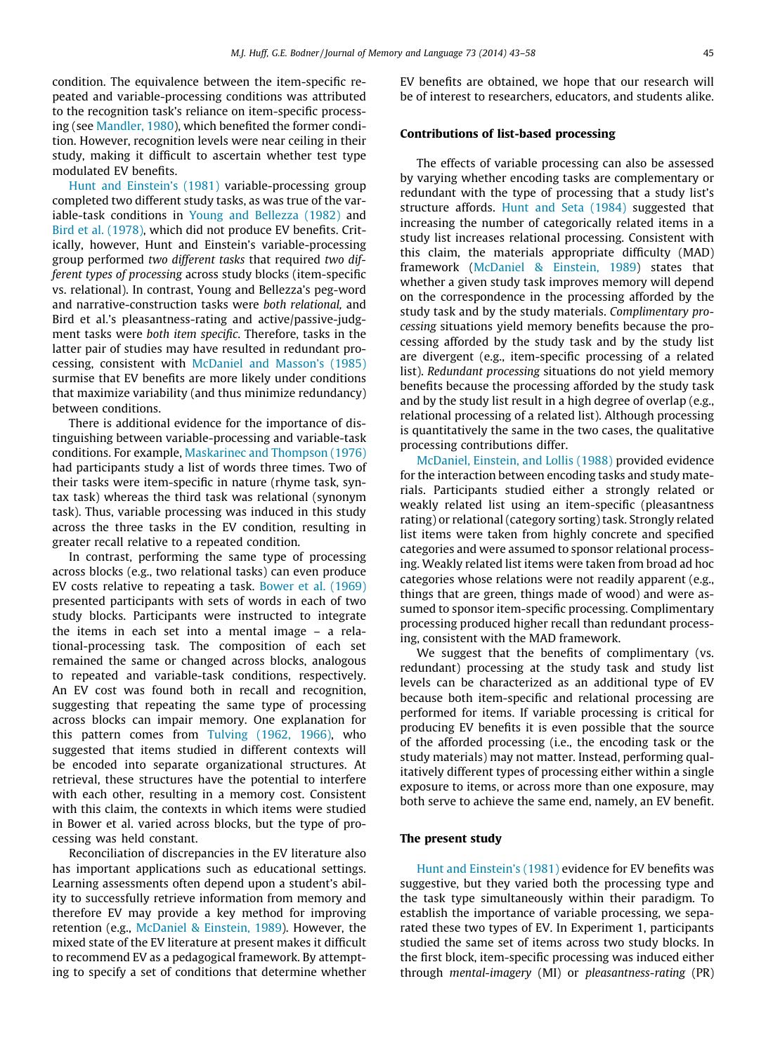condition. The equivalence between the item-specific repeated and variable-processing conditions was attributed to the recognition task's reliance on item-specific processing (see [Mandler, 1980](#page-15-0)), which benefited the former condition. However, recognition levels were near ceiling in their study, making it difficult to ascertain whether test type modulated EV benefits.

[Hunt and Einstein's \(1981\)](#page-15-0) variable-processing group completed two different study tasks, as was true of the variable-task conditions in [Young and Bellezza \(1982\)](#page-15-0) and [Bird et al. \(1978\),](#page-14-0) which did not produce EV benefits. Critically, however, Hunt and Einstein's variable-processing group performed two different tasks that required two different types of processing across study blocks (item-specific vs. relational). In contrast, Young and Bellezza's peg-word and narrative-construction tasks were both relational, and Bird et al.'s pleasantness-rating and active/passive-judgment tasks were both item specific. Therefore, tasks in the latter pair of studies may have resulted in redundant processing, consistent with [McDaniel and Masson's \(1985\)](#page-15-0) surmise that EV benefits are more likely under conditions that maximize variability (and thus minimize redundancy) between conditions.

There is additional evidence for the importance of distinguishing between variable-processing and variable-task conditions. For example, [Maskarinec and Thompson \(1976\)](#page-15-0) had participants study a list of words three times. Two of their tasks were item-specific in nature (rhyme task, syntax task) whereas the third task was relational (synonym task). Thus, variable processing was induced in this study across the three tasks in the EV condition, resulting in greater recall relative to a repeated condition.

In contrast, performing the same type of processing across blocks (e.g., two relational tasks) can even produce EV costs relative to repeating a task. [Bower et al. \(1969\)](#page-14-0) presented participants with sets of words in each of two study blocks. Participants were instructed to integrate the items in each set into a mental image – a relational-processing task. The composition of each set remained the same or changed across blocks, analogous to repeated and variable-task conditions, respectively. An EV cost was found both in recall and recognition, suggesting that repeating the same type of processing across blocks can impair memory. One explanation for this pattern comes from [Tulving \(1962, 1966\)](#page-15-0), who suggested that items studied in different contexts will be encoded into separate organizational structures. At retrieval, these structures have the potential to interfere with each other, resulting in a memory cost. Consistent with this claim, the contexts in which items were studied in Bower et al. varied across blocks, but the type of processing was held constant.

Reconciliation of discrepancies in the EV literature also has important applications such as educational settings. Learning assessments often depend upon a student's ability to successfully retrieve information from memory and therefore EV may provide a key method for improving retention (e.g., [McDaniel & Einstein, 1989](#page-15-0)). However, the mixed state of the EV literature at present makes it difficult to recommend EV as a pedagogical framework. By attempting to specify a set of conditions that determine whether EV benefits are obtained, we hope that our research will be of interest to researchers, educators, and students alike.

## Contributions of list-based processing

The effects of variable processing can also be assessed by varying whether encoding tasks are complementary or redundant with the type of processing that a study list's structure affords. [Hunt and Seta \(1984\)](#page-15-0) suggested that increasing the number of categorically related items in a study list increases relational processing. Consistent with this claim, the materials appropriate difficulty (MAD) framework ([McDaniel & Einstein, 1989](#page-15-0)) states that whether a given study task improves memory will depend on the correspondence in the processing afforded by the study task and by the study materials. Complimentary processing situations yield memory benefits because the processing afforded by the study task and by the study list are divergent (e.g., item-specific processing of a related list). Redundant processing situations do not yield memory benefits because the processing afforded by the study task and by the study list result in a high degree of overlap (e.g., relational processing of a related list). Although processing is quantitatively the same in the two cases, the qualitative processing contributions differ.

[McDaniel, Einstein, and Lollis \(1988\)](#page-15-0) provided evidence for the interaction between encoding tasks and study materials. Participants studied either a strongly related or weakly related list using an item-specific (pleasantness rating) or relational (category sorting) task. Strongly related list items were taken from highly concrete and specified categories and were assumed to sponsor relational processing. Weakly related list items were taken from broad ad hoc categories whose relations were not readily apparent (e.g., things that are green, things made of wood) and were assumed to sponsor item-specific processing. Complimentary processing produced higher recall than redundant processing, consistent with the MAD framework.

We suggest that the benefits of complimentary (vs. redundant) processing at the study task and study list levels can be characterized as an additional type of EV because both item-specific and relational processing are performed for items. If variable processing is critical for producing EV benefits it is even possible that the source of the afforded processing (i.e., the encoding task or the study materials) may not matter. Instead, performing qualitatively different types of processing either within a single exposure to items, or across more than one exposure, may both serve to achieve the same end, namely, an EV benefit.

## The present study

[Hunt and Einstein's \(1981\)](#page-15-0) evidence for EV benefits was suggestive, but they varied both the processing type and the task type simultaneously within their paradigm. To establish the importance of variable processing, we separated these two types of EV. In Experiment 1, participants studied the same set of items across two study blocks. In the first block, item-specific processing was induced either through mental-imagery (MI) or pleasantness-rating (PR)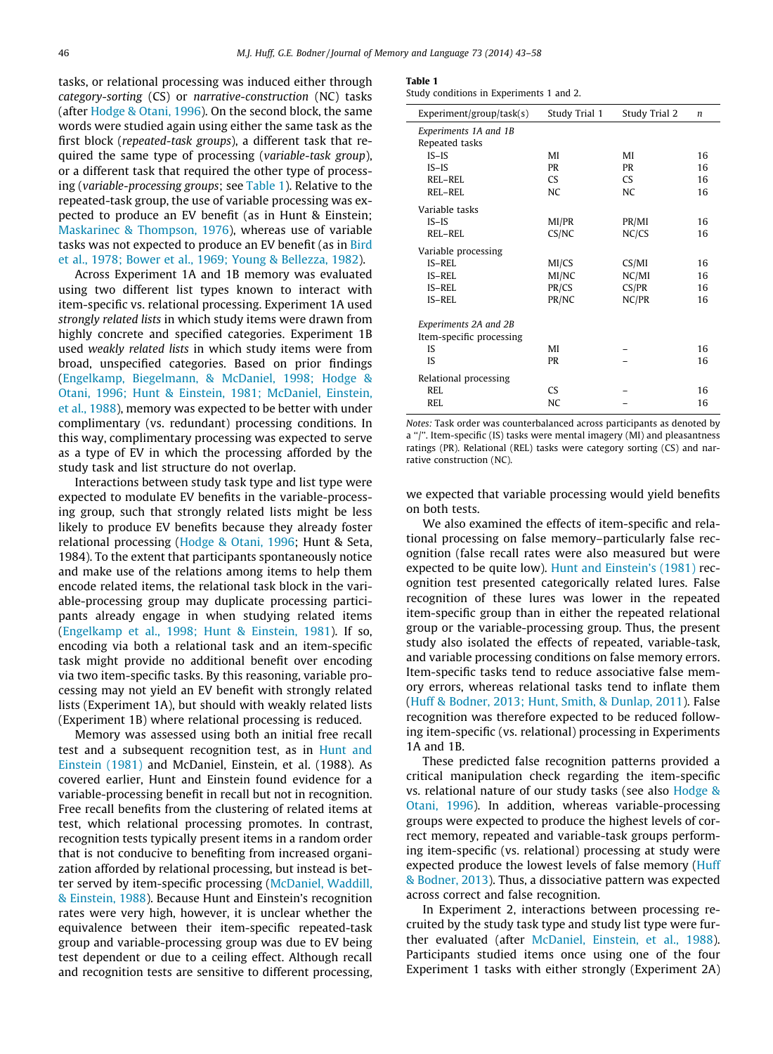<span id="page-3-0"></span>tasks, or relational processing was induced either through category-sorting (CS) or narrative-construction (NC) tasks (after [Hodge & Otani, 1996\)](#page-14-0). On the second block, the same words were studied again using either the same task as the first block (repeated-task groups), a different task that required the same type of processing (variable-task group), or a different task that required the other type of processing (variable-processing groups; see Table 1). Relative to the repeated-task group, the use of variable processing was expected to produce an EV benefit (as in Hunt & Einstein; [Maskarinec & Thompson, 1976](#page-15-0)), whereas use of variable tasks was not expected to produce an EV benefit (as in [Bird](#page-14-0) [et al., 1978; Bower et al., 1969; Young & Bellezza, 1982\)](#page-14-0).

Across Experiment 1A and 1B memory was evaluated using two different list types known to interact with item-specific vs. relational processing. Experiment 1A used strongly related lists in which study items were drawn from highly concrete and specified categories. Experiment 1B used weakly related lists in which study items were from broad, unspecified categories. Based on prior findings [\(Engelkamp, Biegelmann, & McDaniel, 1998; Hodge &](#page-14-0) [Otani, 1996; Hunt & Einstein, 1981; McDaniel, Einstein,](#page-14-0) [et al., 1988\)](#page-14-0), memory was expected to be better with under complimentary (vs. redundant) processing conditions. In this way, complimentary processing was expected to serve as a type of EV in which the processing afforded by the study task and list structure do not overlap.

Interactions between study task type and list type were expected to modulate EV benefits in the variable-processing group, such that strongly related lists might be less likely to produce EV benefits because they already foster relational processing ([Hodge & Otani, 1996;](#page-14-0) Hunt & Seta, 1984). To the extent that participants spontaneously notice and make use of the relations among items to help them encode related items, the relational task block in the variable-processing group may duplicate processing participants already engage in when studying related items [\(Engelkamp et al., 1998; Hunt & Einstein, 1981](#page-14-0)). If so, encoding via both a relational task and an item-specific task might provide no additional benefit over encoding via two item-specific tasks. By this reasoning, variable processing may not yield an EV benefit with strongly related lists (Experiment 1A), but should with weakly related lists (Experiment 1B) where relational processing is reduced.

Memory was assessed using both an initial free recall test and a subsequent recognition test, as in [Hunt and](#page-15-0) [Einstein \(1981\)](#page-15-0) and McDaniel, Einstein, et al. (1988). As covered earlier, Hunt and Einstein found evidence for a variable-processing benefit in recall but not in recognition. Free recall benefits from the clustering of related items at test, which relational processing promotes. In contrast, recognition tests typically present items in a random order that is not conducive to benefiting from increased organization afforded by relational processing, but instead is better served by item-specific processing [\(McDaniel, Waddill,](#page-15-0) [& Einstein, 1988](#page-15-0)). Because Hunt and Einstein's recognition rates were very high, however, it is unclear whether the equivalence between their item-specific repeated-task group and variable-processing group was due to EV being test dependent or due to a ceiling effect. Although recall and recognition tests are sensitive to different processing,

Study conditions in Experiments 1 and 2.

| Experiment/group/task(s)                          | Study Trial 1  | Study Trial 2 | n  |
|---------------------------------------------------|----------------|---------------|----|
| Experiments 1A and 1B<br>Repeated tasks           |                |               |    |
| $IS-IS$                                           | MI             | MI            | 16 |
| $IS-IS$                                           | PR             | PR            | 16 |
| REL-REL                                           | CS.            | CS.           | 16 |
| REL-REL                                           | <b>NC</b>      | <b>NC</b>     | 16 |
| Variable tasks                                    |                |               |    |
| $IS-IS$                                           | MI/PR          | PR/MI         | 16 |
| REL-REL                                           | CS/NC          | NC/CS         | 16 |
| Variable processing                               |                |               |    |
| IS-REL                                            | MI/CS          | CS/MI         | 16 |
| IS-REL                                            | MI/NC          | NC/MI         | 16 |
| IS-REL                                            | PR/CS          | CS/PR         | 16 |
| IS-REL                                            | PR/NC          | NC/PR         | 16 |
| Experiments 2A and 2B<br>Item-specific processing |                |               |    |
| IS.                                               | MI             |               | 16 |
| IS                                                | PR             |               | 16 |
| Relational processing                             |                |               |    |
| <b>REL</b>                                        | <b>CS</b>      |               | 16 |
| <b>REL</b>                                        | N <sub>C</sub> |               | 16 |
|                                                   |                |               |    |

Notes: Task order was counterbalanced across participants as denoted by a ''/''. Item-specific (IS) tasks were mental imagery (MI) and pleasantness ratings (PR). Relational (REL) tasks were category sorting (CS) and narrative construction (NC).

we expected that variable processing would yield benefits on both tests.

We also examined the effects of item-specific and relational processing on false memory–particularly false recognition (false recall rates were also measured but were expected to be quite low). [Hunt and Einstein's \(1981\)](#page-15-0) recognition test presented categorically related lures. False recognition of these lures was lower in the repeated item-specific group than in either the repeated relational group or the variable-processing group. Thus, the present study also isolated the effects of repeated, variable-task, and variable processing conditions on false memory errors. Item-specific tasks tend to reduce associative false memory errors, whereas relational tasks tend to inflate them [\(Huff & Bodner, 2013; Hunt, Smith, & Dunlap, 2011](#page-15-0)). False recognition was therefore expected to be reduced following item-specific (vs. relational) processing in Experiments 1A and 1B.

These predicted false recognition patterns provided a critical manipulation check regarding the item-specific vs. relational nature of our study tasks (see also [Hodge &](#page-14-0) [Otani, 1996](#page-14-0)). In addition, whereas variable-processing groups were expected to produce the highest levels of correct memory, repeated and variable-task groups performing item-specific (vs. relational) processing at study were expected produce the lowest levels of false memory ([Huff](#page-15-0) [& Bodner, 2013](#page-15-0)). Thus, a dissociative pattern was expected across correct and false recognition.

In Experiment 2, interactions between processing recruited by the study task type and study list type were further evaluated (after [McDaniel, Einstein, et al., 1988](#page-15-0)). Participants studied items once using one of the four Experiment 1 tasks with either strongly (Experiment 2A)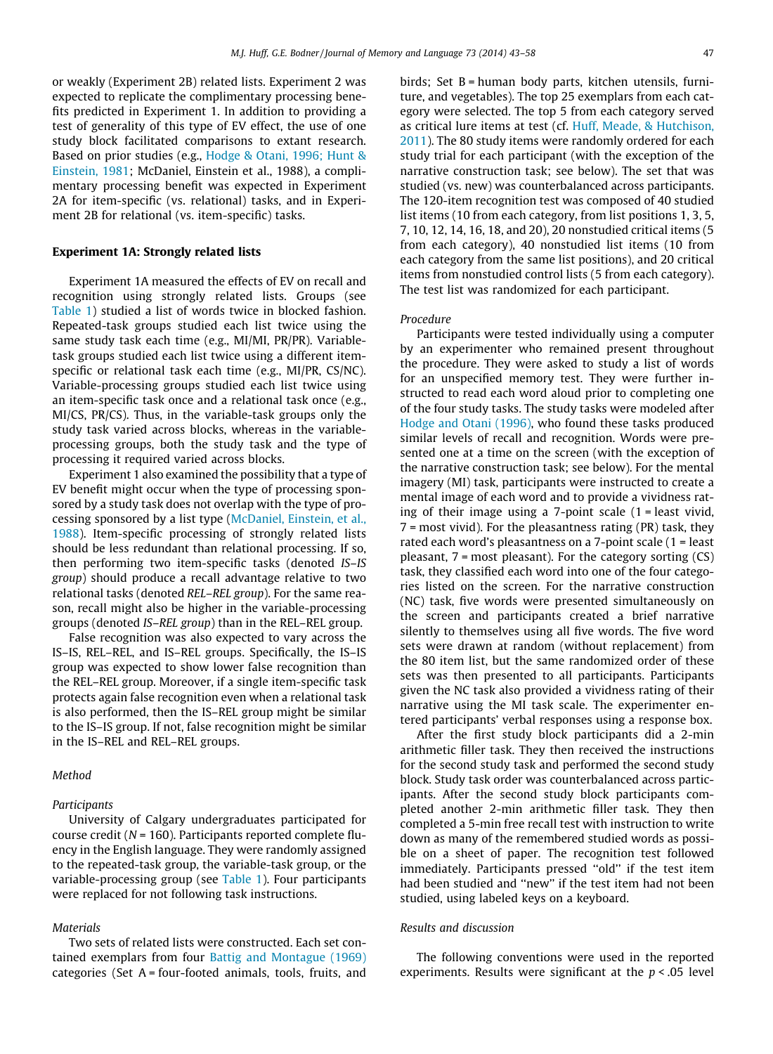or weakly (Experiment 2B) related lists. Experiment 2 was expected to replicate the complimentary processing benefits predicted in Experiment 1. In addition to providing a test of generality of this type of EV effect, the use of one study block facilitated comparisons to extant research. Based on prior studies (e.g., [Hodge & Otani, 1996; Hunt &](#page-14-0) [Einstein, 1981](#page-14-0); McDaniel, Einstein et al., 1988), a complimentary processing benefit was expected in Experiment 2A for item-specific (vs. relational) tasks, and in Experiment 2B for relational (vs. item-specific) tasks.

## Experiment 1A: Strongly related lists

Experiment 1A measured the effects of EV on recall and recognition using strongly related lists. Groups (see [Table 1](#page-3-0)) studied a list of words twice in blocked fashion. Repeated-task groups studied each list twice using the same study task each time (e.g., MI/MI, PR/PR). Variabletask groups studied each list twice using a different itemspecific or relational task each time (e.g., MI/PR, CS/NC). Variable-processing groups studied each list twice using an item-specific task once and a relational task once (e.g., MI/CS, PR/CS). Thus, in the variable-task groups only the study task varied across blocks, whereas in the variableprocessing groups, both the study task and the type of processing it required varied across blocks.

Experiment 1 also examined the possibility that a type of EV benefit might occur when the type of processing sponsored by a study task does not overlap with the type of processing sponsored by a list type ([McDaniel, Einstein, et al.,](#page-15-0) [1988\)](#page-15-0). Item-specific processing of strongly related lists should be less redundant than relational processing. If so, then performing two item-specific tasks (denoted IS–IS group) should produce a recall advantage relative to two relational tasks (denoted REL–REL group). For the same reason, recall might also be higher in the variable-processing groups (denoted IS–REL group) than in the REL–REL group.

False recognition was also expected to vary across the IS–IS, REL–REL, and IS–REL groups. Specifically, the IS–IS group was expected to show lower false recognition than the REL–REL group. Moreover, if a single item-specific task protects again false recognition even when a relational task is also performed, then the IS–REL group might be similar to the IS–IS group. If not, false recognition might be similar in the IS–REL and REL–REL groups.

#### Method

#### Participants

University of Calgary undergraduates participated for course credit ( $N = 160$ ). Participants reported complete fluency in the English language. They were randomly assigned to the repeated-task group, the variable-task group, or the variable-processing group (see [Table 1\)](#page-3-0). Four participants were replaced for not following task instructions.

#### **Materials**

Two sets of related lists were constructed. Each set contained exemplars from four [Battig and Montague \(1969\)](#page-14-0) categories (Set A = four-footed animals, tools, fruits, and birds; Set B = human body parts, kitchen utensils, furniture, and vegetables). The top 25 exemplars from each category were selected. The top 5 from each category served as critical lure items at test (cf. [Huff, Meade, & Hutchison,](#page-15-0) [2011\)](#page-15-0). The 80 study items were randomly ordered for each study trial for each participant (with the exception of the narrative construction task; see below). The set that was studied (vs. new) was counterbalanced across participants. The 120-item recognition test was composed of 40 studied list items (10 from each category, from list positions 1, 3, 5, 7, 10, 12, 14, 16, 18, and 20), 20 nonstudied critical items (5 from each category), 40 nonstudied list items (10 from each category from the same list positions), and 20 critical items from nonstudied control lists (5 from each category). The test list was randomized for each participant.

## Procedure

Participants were tested individually using a computer by an experimenter who remained present throughout the procedure. They were asked to study a list of words for an unspecified memory test. They were further instructed to read each word aloud prior to completing one of the four study tasks. The study tasks were modeled after [Hodge and Otani \(1996\)](#page-14-0), who found these tasks produced similar levels of recall and recognition. Words were presented one at a time on the screen (with the exception of the narrative construction task; see below). For the mental imagery (MI) task, participants were instructed to create a mental image of each word and to provide a vividness rating of their image using a 7-point scale (1 = least vivid,  $7 =$  most vivid). For the pleasantness rating (PR) task, they rated each word's pleasantness on a 7-point scale (1 = least pleasant,  $7 =$  most pleasant). For the category sorting  $(CS)$ task, they classified each word into one of the four categories listed on the screen. For the narrative construction (NC) task, five words were presented simultaneously on the screen and participants created a brief narrative silently to themselves using all five words. The five word sets were drawn at random (without replacement) from the 80 item list, but the same randomized order of these sets was then presented to all participants. Participants given the NC task also provided a vividness rating of their narrative using the MI task scale. The experimenter entered participants' verbal responses using a response box.

After the first study block participants did a 2-min arithmetic filler task. They then received the instructions for the second study task and performed the second study block. Study task order was counterbalanced across participants. After the second study block participants completed another 2-min arithmetic filler task. They then completed a 5-min free recall test with instruction to write down as many of the remembered studied words as possible on a sheet of paper. The recognition test followed immediately. Participants pressed ''old'' if the test item had been studied and ''new'' if the test item had not been studied, using labeled keys on a keyboard.

#### Results and discussion

The following conventions were used in the reported experiments. Results were significant at the  $p < .05$  level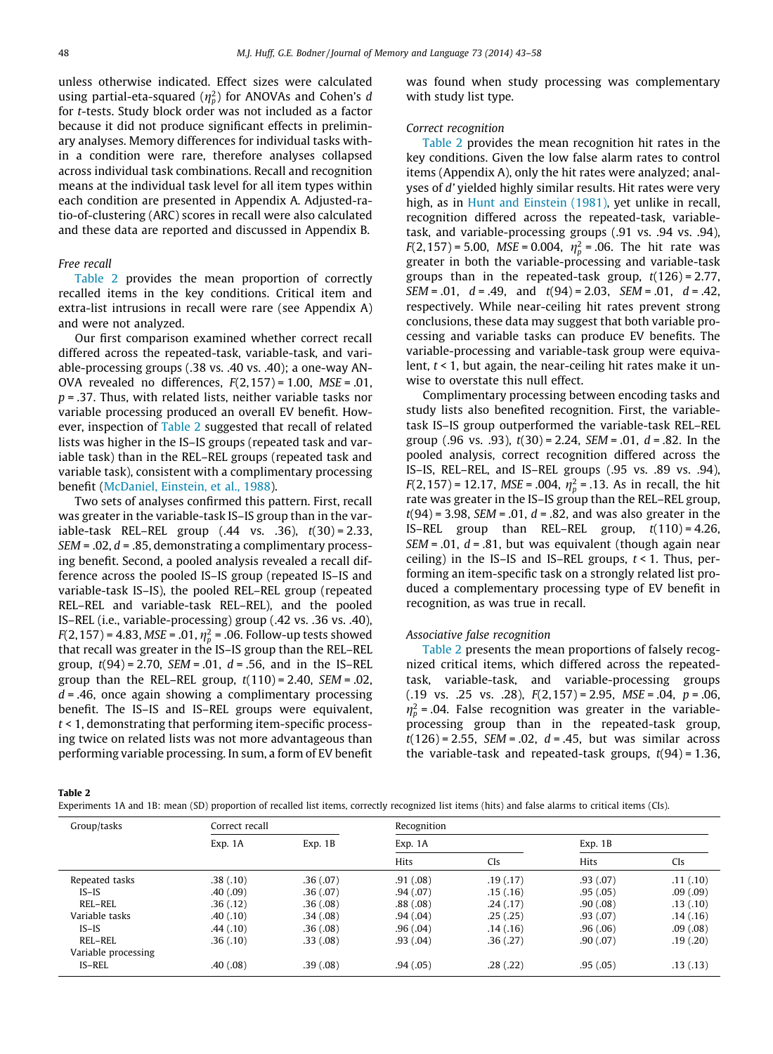<span id="page-5-0"></span>unless otherwise indicated. Effect sizes were calculated using partial-eta-squared  $(\eta_p^2)$  for ANOVAs and Cohen's d for t-tests. Study block order was not included as a factor because it did not produce significant effects in preliminary analyses. Memory differences for individual tasks within a condition were rare, therefore analyses collapsed across individual task combinations. Recall and recognition means at the individual task level for all item types within each condition are presented in Appendix A. Adjusted-ratio-of-clustering (ARC) scores in recall were also calculated and these data are reported and discussed in Appendix B.

## Free recall

Table 2 provides the mean proportion of correctly recalled items in the key conditions. Critical item and extra-list intrusions in recall were rare (see Appendix A) and were not analyzed.

Our first comparison examined whether correct recall differed across the repeated-task, variable-task, and variable-processing groups (.38 vs. .40 vs. .40); a one-way AN-OVA revealed no differences,  $F(2,157) = 1.00$ ,  $MSE = .01$ ,  $p = 0.37$ . Thus, with related lists, neither variable tasks nor variable processing produced an overall EV benefit. However, inspection of Table 2 suggested that recall of related lists was higher in the IS–IS groups (repeated task and variable task) than in the REL–REL groups (repeated task and variable task), consistent with a complimentary processing benefit [\(McDaniel, Einstein, et al., 1988\)](#page-15-0).

Two sets of analyses confirmed this pattern. First, recall was greater in the variable-task IS–IS group than in the variable-task REL–REL group  $(.44 \text{ vs. } .36)$ ,  $t(30) = 2.33$ ,  $SEM = .02, d = .85,$  demonstrating a complimentary processing benefit. Second, a pooled analysis revealed a recall difference across the pooled IS–IS group (repeated IS–IS and variable-task IS–IS), the pooled REL–REL group (repeated REL–REL and variable-task REL–REL), and the pooled IS–REL (i.e., variable-processing) group (.42 vs. .36 vs. .40),  $F(2, 157)$  = 4.83, MSE = .01,  $\eta_p^2$  = .06. Follow-up tests showed that recall was greater in the IS–IS group than the REL–REL group,  $t(94) = 2.70$ ,  $SEM = .01$ ,  $d = .56$ , and in the IS-REL group than the REL–REL group,  $t(110) = 2.40$ ,  $SEM = .02$ ,  $d = 0.46$ , once again showing a complimentary processing benefit. The IS–IS and IS–REL groups were equivalent,  $t$  < 1, demonstrating that performing item-specific processing twice on related lists was not more advantageous than performing variable processing. In sum, a form of EV benefit was found when study processing was complementary with study list type.

#### Correct recognition

Table 2 provides the mean recognition hit rates in the key conditions. Given the low false alarm rates to control items (Appendix A), only the hit rates were analyzed; analyses of d' yielded highly similar results. Hit rates were very high, as in [Hunt and Einstein \(1981\),](#page-15-0) yet unlike in recall, recognition differed across the repeated-task, variabletask, and variable-processing groups (.91 vs. .94 vs. .94),  $F(2, 157) = 5.00$ ,  $MSE = 0.004$ ,  $\eta_p^2 = .06$ . The hit rate was greater in both the variable-processing and variable-task groups than in the repeated-task group,  $t(126) = 2.77$ , SEM = .01,  $d = .49$ , and  $t(94) = 2.03$ , SEM = .01,  $d = .42$ , respectively. While near-ceiling hit rates prevent strong conclusions, these data may suggest that both variable processing and variable tasks can produce EV benefits. The variable-processing and variable-task group were equivalent,  $t < 1$ , but again, the near-ceiling hit rates make it unwise to overstate this null effect.

Complimentary processing between encoding tasks and study lists also benefited recognition. First, the variabletask IS–IS group outperformed the variable-task REL–REL group (.96 vs. .93),  $t(30) = 2.24$ ,  $SEM = .01$ ,  $d = .82$ . In the pooled analysis, correct recognition differed across the IS–IS, REL–REL, and IS–REL groups (.95 vs. .89 vs. .94),  $F(2, 157) = 12.17$ ,  $MSE = .004$ ,  $\eta_p^2 = .13$ . As in recall, the hit rate was greater in the IS–IS group than the REL–REL group,  $t(94) = 3.98$ , SEM = .01,  $d = .82$ , and was also greater in the IS-REL group than REL-REL group,  $t(110) = 4.26$ ,  $SEM = .01$ ,  $d = .81$ , but was equivalent (though again near ceiling) in the IS–IS and IS–REL groups,  $t < 1$ . Thus, performing an item-specific task on a strongly related list produced a complementary processing type of EV benefit in recognition, as was true in recall.

## Associative false recognition

Table 2 presents the mean proportions of falsely recognized critical items, which differed across the repeatedtask, variable-task, and variable-processing groups  $(.19 \text{ vs. } .25 \text{ vs. } .28), F(2,157) = 2.95, MSE = .04, p = .06,$  $\eta_p^2$  = .04. False recognition was greater in the variableprocessing group than in the repeated-task group,  $t(126) = 2.55$ , SEM = .02,  $d = .45$ , but was similar across the variable-task and repeated-task groups,  $t(94) = 1.36$ ,

Table 2

|  | Experiments 1A and 1B: mean (SD) proportion of recalled list items, correctly recognized list items (hits) and false alarms to critical items (CIs). |  |  |  |
|--|------------------------------------------------------------------------------------------------------------------------------------------------------|--|--|--|
|--|------------------------------------------------------------------------------------------------------------------------------------------------------|--|--|--|

| Group/tasks         | Correct recall |          | Recognition |            |           |            |
|---------------------|----------------|----------|-------------|------------|-----------|------------|
|                     | Exp. 1A        | Exp. 1B  | Exp. 1A     |            | Exp. 1B   |            |
|                     |                |          | Hits        | <b>CIs</b> | Hits      | <b>CIs</b> |
| Repeated tasks      | .38(.10)       | .36(.07) | .91(.08)    | .19(.17)   | .93(0.07) | .11(.10)   |
| $IS-IS$             | .40(.09)       | .36(.07) | .94(07)     | .15(0.16)  | .95(.05)  | .09(.09)   |
| REL-REL             | .36(.12)       | .36(.08) | .88(.08)    | .24(.17)   | .90(0.08) | .13(.10)   |
| Variable tasks      | .40(.10)       | .34(.08) | .94(0.04)   | .25(.25)   | .93(0.07) | .14(.16)   |
| $IS-IS$             | .44(.10)       | .36(.08) | .96(0.04)   | .14(0.16)  | .96(0.06) | .09(.08)   |
| REL-REL             | .36(.10)       | .33(.08) | .93(0.04)   | .36(.27)   | .90(0.07) | .19(.20)   |
| Variable processing |                |          |             |            |           |            |
| IS-REL              | .40(.08)       | .39(.08) | .94(.05)    | .28(.22)   | .95(.05)  | .13(.13)   |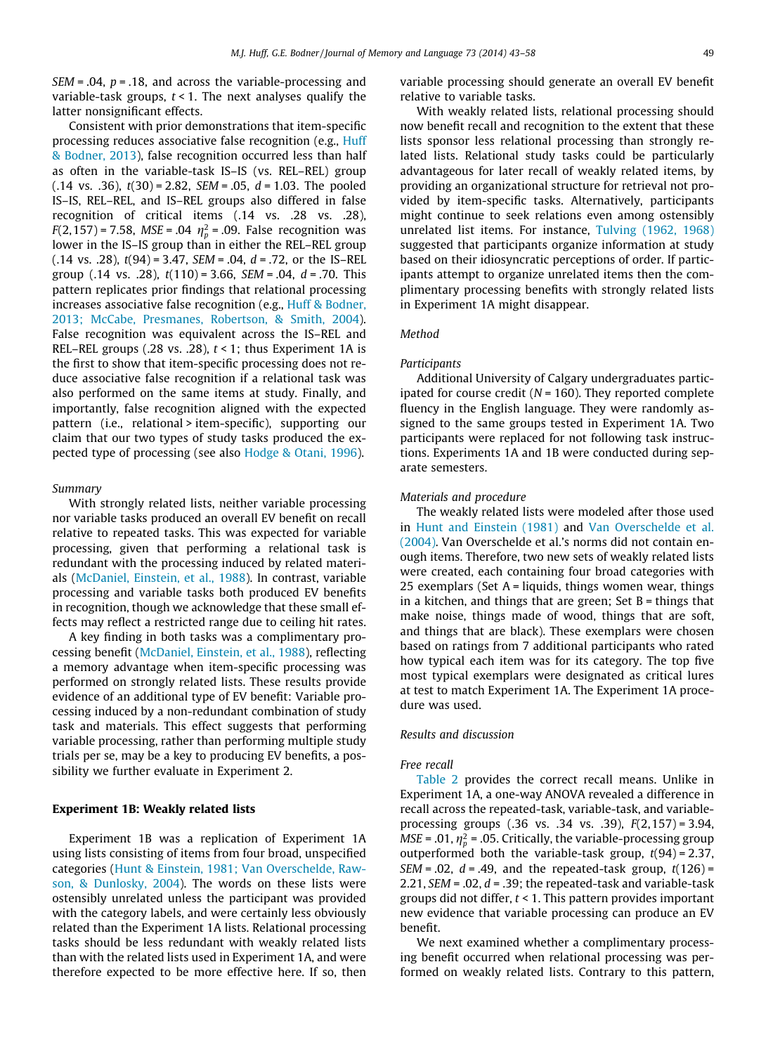$SEM = .04$ ,  $p = .18$ , and across the variable-processing and variable-task groups,  $t < 1$ . The next analyses qualify the latter nonsignificant effects.

Consistent with prior demonstrations that item-specific processing reduces associative false recognition (e.g., [Huff](#page-15-0) [& Bodner, 2013](#page-15-0)), false recognition occurred less than half as often in the variable-task IS–IS (vs. REL–REL) group  $(.14 \text{ vs. } .36)$ ,  $t(30) = 2.82$ ,  $SEM = .05$ ,  $d = 1.03$ . The pooled IS–IS, REL–REL, and IS–REL groups also differed in false recognition of critical items (.14 vs. .28 vs. .28),  $F(2, 157) = 7.58$ , MSE = .04  $\eta_p^2$  = .09. False recognition was lower in the IS–IS group than in either the REL–REL group  $(.14 \text{ vs. } .28)$ ,  $t(94) = 3.47$ ,  $SEM = .04$ ,  $d = .72$ , or the IS-REL group  $(.14 \text{ vs. } .28)$ ,  $t(110) = 3.66$ ,  $SEM = .04$ ,  $d = .70$ . This pattern replicates prior findings that relational processing increases associative false recognition (e.g., [Huff & Bodner,](#page-15-0) [2013; McCabe, Presmanes, Robertson, & Smith, 2004](#page-15-0)). False recognition was equivalent across the IS–REL and REL–REL groups (.28 vs. .28),  $t < 1$ ; thus Experiment 1A is the first to show that item-specific processing does not reduce associative false recognition if a relational task was also performed on the same items at study. Finally, and importantly, false recognition aligned with the expected pattern (i.e., relational > item-specific), supporting our claim that our two types of study tasks produced the expected type of processing (see also [Hodge & Otani, 1996\)](#page-14-0).

#### Summary

With strongly related lists, neither variable processing nor variable tasks produced an overall EV benefit on recall relative to repeated tasks. This was expected for variable processing, given that performing a relational task is redundant with the processing induced by related materials [\(McDaniel, Einstein, et al., 1988](#page-15-0)). In contrast, variable processing and variable tasks both produced EV benefits in recognition, though we acknowledge that these small effects may reflect a restricted range due to ceiling hit rates.

A key finding in both tasks was a complimentary processing benefit [\(McDaniel, Einstein, et al., 1988](#page-15-0)), reflecting a memory advantage when item-specific processing was performed on strongly related lists. These results provide evidence of an additional type of EV benefit: Variable processing induced by a non-redundant combination of study task and materials. This effect suggests that performing variable processing, rather than performing multiple study trials per se, may be a key to producing EV benefits, a possibility we further evaluate in Experiment 2.

## Experiment 1B: Weakly related lists

Experiment 1B was a replication of Experiment 1A using lists consisting of items from four broad, unspecified categories ([Hunt & Einstein, 1981; Van Overschelde, Raw](#page-15-0)[son, & Dunlosky, 2004\)](#page-15-0). The words on these lists were ostensibly unrelated unless the participant was provided with the category labels, and were certainly less obviously related than the Experiment 1A lists. Relational processing tasks should be less redundant with weakly related lists than with the related lists used in Experiment 1A, and were therefore expected to be more effective here. If so, then variable processing should generate an overall EV benefit relative to variable tasks.

With weakly related lists, relational processing should now benefit recall and recognition to the extent that these lists sponsor less relational processing than strongly related lists. Relational study tasks could be particularly advantageous for later recall of weakly related items, by providing an organizational structure for retrieval not provided by item-specific tasks. Alternatively, participants might continue to seek relations even among ostensibly unrelated list items. For instance, [Tulving \(1962, 1968\)](#page-15-0) suggested that participants organize information at study based on their idiosyncratic perceptions of order. If participants attempt to organize unrelated items then the complimentary processing benefits with strongly related lists in Experiment 1A might disappear.

#### Method

#### Participants

Additional University of Calgary undergraduates participated for course credit ( $N = 160$ ). They reported complete fluency in the English language. They were randomly assigned to the same groups tested in Experiment 1A. Two participants were replaced for not following task instructions. Experiments 1A and 1B were conducted during separate semesters.

#### Materials and procedure

The weakly related lists were modeled after those used in [Hunt and Einstein \(1981\)](#page-15-0) and [Van Overschelde et al.](#page-15-0) [\(2004\).](#page-15-0) Van Overschelde et al.'s norms did not contain enough items. Therefore, two new sets of weakly related lists were created, each containing four broad categories with 25 exemplars (Set A = liquids, things women wear, things in a kitchen, and things that are green; Set  $B =$  things that make noise, things made of wood, things that are soft, and things that are black). These exemplars were chosen based on ratings from 7 additional participants who rated how typical each item was for its category. The top five most typical exemplars were designated as critical lures at test to match Experiment 1A. The Experiment 1A procedure was used.

#### Results and discussion

#### Free recall

[Table 2](#page-5-0) provides the correct recall means. Unlike in Experiment 1A, a one-way ANOVA revealed a difference in recall across the repeated-task, variable-task, and variableprocessing groups (.36 vs. .34 vs. .39), F(2,157) = 3.94,  $MSE = .01$ ,  $\eta_p^2 = .05$ . Critically, the variable-processing group outperformed both the variable-task group,  $t(94) = 2.37$ ,  $SEM = .02$ ,  $d = .49$ , and the repeated-task group,  $t(126) =$ 2.21,  $SEM = .02$ ,  $d = .39$ ; the repeated-task and variable-task groups did not differ,  $t < 1$ . This pattern provides important new evidence that variable processing can produce an EV benefit.

We next examined whether a complimentary processing benefit occurred when relational processing was performed on weakly related lists. Contrary to this pattern,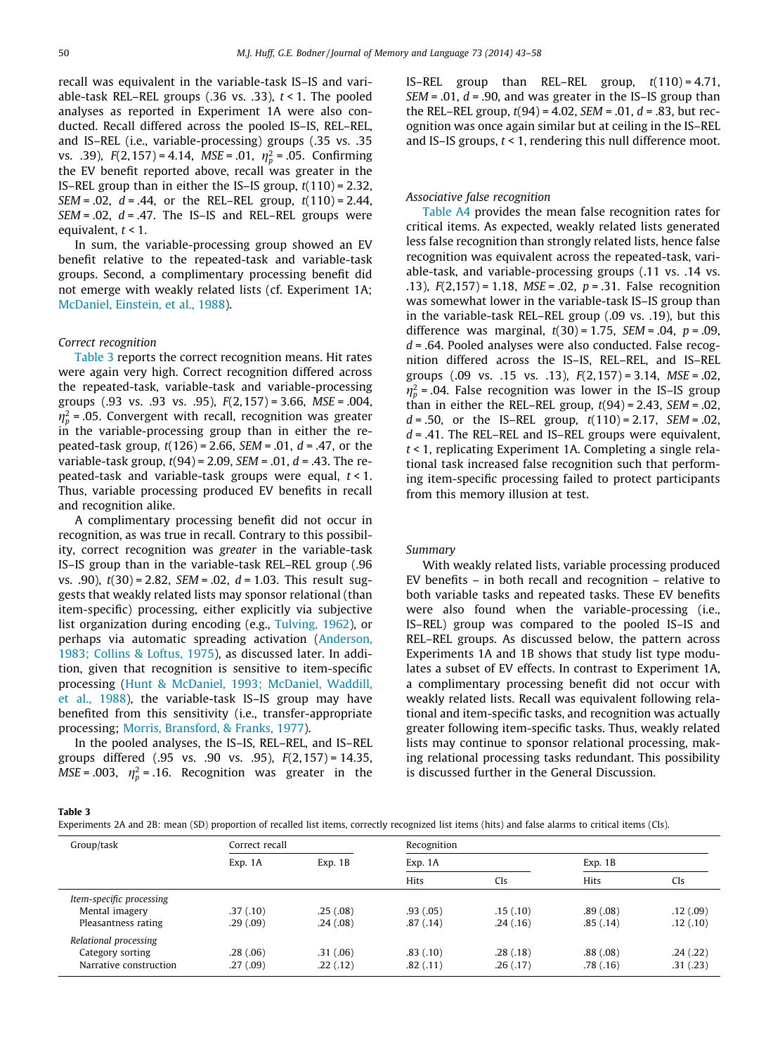<span id="page-7-0"></span>recall was equivalent in the variable-task IS–IS and variable-task REL–REL groups (.36 vs. .33),  $t < 1$ . The pooled analyses as reported in Experiment 1A were also conducted. Recall differed across the pooled IS–IS, REL–REL, and IS–REL (i.e., variable-processing) groups (.35 vs. .35 vs. .39),  $F(2, 157) = 4.14$ ,  $MSE = .01$ ,  $\eta_p^2 = .05$ . Confirming the EV benefit reported above, recall was greater in the IS–REL group than in either the IS–IS group,  $t(110) = 2.32$ ,  $SEM = .02$ ,  $d = .44$ , or the REL–REL group,  $t(110) = 2.44$ ,  $SEM = .02$ ,  $d = .47$ . The IS-IS and REL-REL groups were equivalent,  $t < 1$ .

In sum, the variable-processing group showed an EV benefit relative to the repeated-task and variable-task groups. Second, a complimentary processing benefit did not emerge with weakly related lists (cf. Experiment 1A; [McDaniel, Einstein, et al., 1988\)](#page-15-0).

#### Correct recognition

Table 3 reports the correct recognition means. Hit rates were again very high. Correct recognition differed across the repeated-task, variable-task and variable-processing groups (.93 vs. .93 vs. .95), F(2,157) = 3.66, MSE = .004,  $\eta_p^2$  = .05. Convergent with recall, recognition was greater in the variable-processing group than in either the repeated-task group,  $t(126) = 2.66$ ,  $SEM = .01$ ,  $d = .47$ , or the variable-task group,  $t(94) = 2.09$ ,  $SEM = .01$ ,  $d = .43$ . The repeated-task and variable-task groups were equal,  $t < 1$ . Thus, variable processing produced EV benefits in recall and recognition alike.

A complimentary processing benefit did not occur in recognition, as was true in recall. Contrary to this possibility, correct recognition was greater in the variable-task IS–IS group than in the variable-task REL–REL group (.96 vs.  $.90$ ),  $t(30) = 2.82$ ,  $SEM = .02$ ,  $d = 1.03$ . This result suggests that weakly related lists may sponsor relational (than item-specific) processing, either explicitly via subjective list organization during encoding (e.g., [Tulving, 1962](#page-15-0)), or perhaps via automatic spreading activation ([Anderson,](#page-14-0) [1983; Collins & Loftus, 1975\)](#page-14-0), as discussed later. In addition, given that recognition is sensitive to item-specific processing [\(Hunt & McDaniel, 1993; McDaniel, Waddill,](#page-15-0) [et al., 1988\)](#page-15-0), the variable-task IS–IS group may have benefited from this sensitivity (i.e., transfer-appropriate processing; [Morris, Bransford, & Franks, 1977](#page-15-0)).

In the pooled analyses, the IS–IS, REL–REL, and IS–REL groups differed (.95 vs. .90 vs. .95), F(2,157) = 14.35,  $MSE = .003$ ,  $\eta_p^2 = .16$ . Recognition was greater in the

IS–REL group than REL–REL group,  $t(110) = 4.71$ ,  $SEM = .01$ ,  $d = .90$ , and was greater in the IS-IS group than the REL–REL group,  $t(94) = 4.02$ ,  $SEM = .01$ ,  $d = .83$ , but recognition was once again similar but at ceiling in the IS–REL and IS–IS groups,  $t < 1$ , rendering this null difference moot.

## Associative false recognition

[Table A4](#page-13-0) provides the mean false recognition rates for critical items. As expected, weakly related lists generated less false recognition than strongly related lists, hence false recognition was equivalent across the repeated-task, variable-task, and variable-processing groups (.11 vs. .14 vs. .13),  $F(2,157) = 1.18$ ,  $MSE = .02$ ,  $p = .31$ . False recognition was somewhat lower in the variable-task IS–IS group than in the variable-task REL–REL group (.09 vs. .19), but this difference was marginal,  $t(30) = 1.75$ ,  $SEM = .04$ ,  $p = .09$ ,  $d = .64$ . Pooled analyses were also conducted. False recognition differed across the IS–IS, REL–REL, and IS–REL groups  $(.09 \text{ vs. } .15 \text{ vs. } .13)$ ,  $F(2,157) = 3.14$ ,  $MSE = .02$ ,  $\eta_p^2$  = .04. False recognition was lower in the IS–IS group than in either the REL–REL group,  $t(94) = 2.43$ , SEM = .02,  $d = .50$ , or the IS-REL group,  $t(110) = 2.17$ ,  $SEM = .02$ ,  $d = .41$ . The REL–REL and IS–REL groups were equivalent,  $t < 1$ , replicating Experiment 1A. Completing a single relational task increased false recognition such that performing item-specific processing failed to protect participants from this memory illusion at test.

#### Summary

With weakly related lists, variable processing produced EV benefits – in both recall and recognition – relative to both variable tasks and repeated tasks. These EV benefits were also found when the variable-processing (i.e., IS–REL) group was compared to the pooled IS–IS and REL–REL groups. As discussed below, the pattern across Experiments 1A and 1B shows that study list type modulates a subset of EV effects. In contrast to Experiment 1A, a complimentary processing benefit did not occur with weakly related lists. Recall was equivalent following relational and item-specific tasks, and recognition was actually greater following item-specific tasks. Thus, weakly related lists may continue to sponsor relational processing, making relational processing tasks redundant. This possibility is discussed further in the General Discussion.

Table 3

Experiments 2A and 2B: mean (SD) proportion of recalled list items, correctly recognized list items (hits) and false alarms to critical items (CIs).

| Group/task               | Correct recall |          | Recognition |            |           |            |  |  |
|--------------------------|----------------|----------|-------------|------------|-----------|------------|--|--|
|                          | Exp. 1A        | Exp. 1B  | Exp. 1A     |            | Exp. 1B   |            |  |  |
|                          |                |          | Hits        | <b>CIs</b> | Hits      | <b>CIs</b> |  |  |
| Item-specific processing |                |          |             |            |           |            |  |  |
| Mental imagery           | .37(.10)       | .25(.08) | .93(0.05)   | .15(.10)   | .89(.08)  | .12(.09)   |  |  |
| Pleasantness rating      | .29(.09)       | .24(.08) | .87(0.14)   | .24(.16)   | .85(0.14) | .12(.10)   |  |  |
| Relational processing    |                |          |             |            |           |            |  |  |
| Category sorting         | .28(.06)       | .31(.06) | .83(.10)    | .28(.18)   | .88(.08)  | .24(.22)   |  |  |
| Narrative construction   | .27(.09)       | .22(.12) | .82(.11)    | .26(.17)   | .78(.16)  | .31(.23)   |  |  |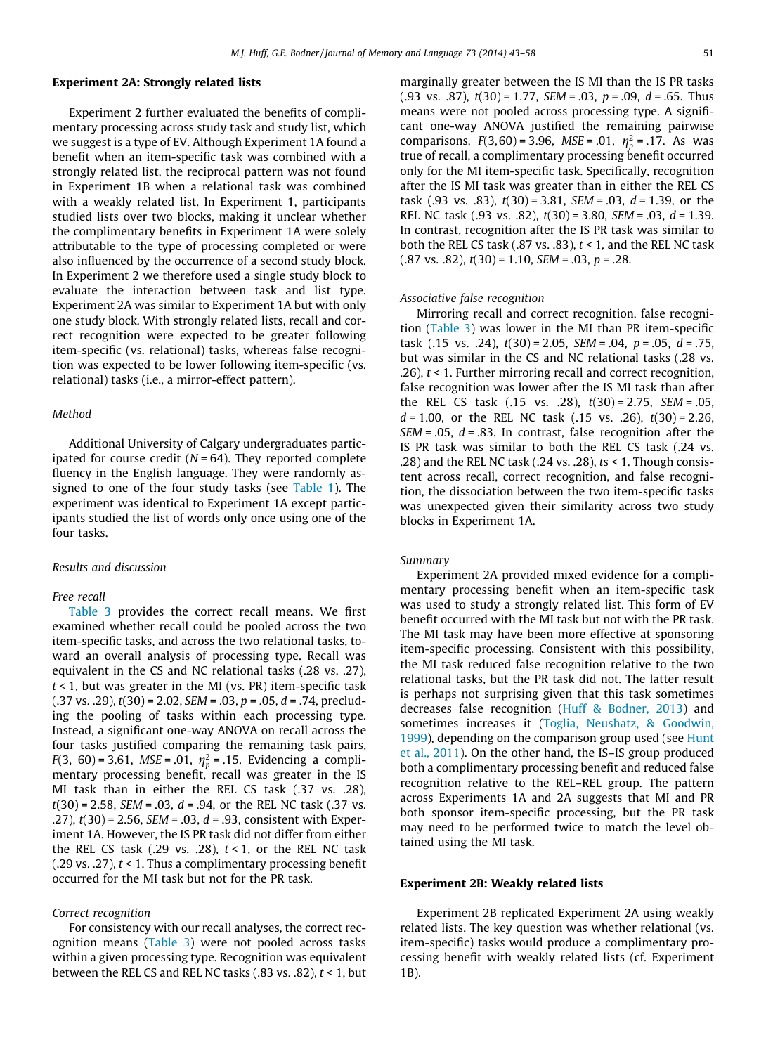#### Experiment 2A: Strongly related lists

Experiment 2 further evaluated the benefits of complimentary processing across study task and study list, which we suggest is a type of EV. Although Experiment 1A found a benefit when an item-specific task was combined with a strongly related list, the reciprocal pattern was not found in Experiment 1B when a relational task was combined with a weakly related list. In Experiment 1, participants studied lists over two blocks, making it unclear whether the complimentary benefits in Experiment 1A were solely attributable to the type of processing completed or were also influenced by the occurrence of a second study block. In Experiment 2 we therefore used a single study block to evaluate the interaction between task and list type. Experiment 2A was similar to Experiment 1A but with only one study block. With strongly related lists, recall and correct recognition were expected to be greater following item-specific (vs. relational) tasks, whereas false recognition was expected to be lower following item-specific (vs. relational) tasks (i.e., a mirror-effect pattern).

#### Method

Additional University of Calgary undergraduates participated for course credit ( $N = 64$ ). They reported complete fluency in the English language. They were randomly assigned to one of the four study tasks (see [Table 1\)](#page-3-0). The experiment was identical to Experiment 1A except participants studied the list of words only once using one of the four tasks.

## Results and discussion

## Free recall

[Table 3](#page-7-0) provides the correct recall means. We first examined whether recall could be pooled across the two item-specific tasks, and across the two relational tasks, toward an overall analysis of processing type. Recall was equivalent in the CS and NC relational tasks (.28 vs. .27),  $t$  < 1, but was greater in the MI (vs. PR) item-specific task  $(.37 \text{ vs. } .29), t(30) = 2.02, SEM = .03, p = .05, d = .74, preclude$ ing the pooling of tasks within each processing type. Instead, a significant one-way ANOVA on recall across the four tasks justified comparing the remaining task pairs,  $F(3, 60) = 3.61$ ,  $MSE = .01$ ,  $\eta_p^2 = .15$ . Evidencing a complimentary processing benefit, recall was greater in the IS MI task than in either the REL CS task (.37 vs. .28),  $t(30) = 2.58$ , SEM = .03,  $d = .94$ , or the REL NC task (.37 vs. .27),  $t(30)$  = 2.56, SEM = .03,  $d$  = .93, consistent with Experiment 1A. However, the IS PR task did not differ from either the REL CS task (.29 vs. .28),  $t < 1$ , or the REL NC task (.29 vs. .27),  $t < 1$ . Thus a complimentary processing benefit occurred for the MI task but not for the PR task.

#### Correct recognition

For consistency with our recall analyses, the correct recognition means ([Table 3](#page-7-0)) were not pooled across tasks within a given processing type. Recognition was equivalent between the REL CS and REL NC tasks  $(.83 \text{ vs. } .82)$ ,  $t < 1$ , but marginally greater between the IS MI than the IS PR tasks  $(.93 \text{ vs. } .87), t(30) = 1.77, \text{ SEM} = .03, p = .09, d = .65. \text{ Thus}$ means were not pooled across processing type. A significant one-way ANOVA justified the remaining pairwise comparisons,  $F(3,60) = 3.96$ ,  $MSE = .01$ ,  $\eta_p^2 = .17$ . As was true of recall, a complimentary processing benefit occurred only for the MI item-specific task. Specifically, recognition after the IS MI task was greater than in either the REL CS task (.93 vs. .83),  $t(30) = 3.81$ ,  $SEM = .03$ ,  $d = 1.39$ , or the REL NC task  $(.93 \text{ vs. } .82)$ ,  $t(30) = 3.80$ ,  $SEM = .03$ ,  $d = 1.39$ . In contrast, recognition after the IS PR task was similar to both the REL CS task (.87 vs. .83),  $t < 1$ , and the REL NC task  $(.87 \text{ vs. } .82), t(30) = 1.10, \text{ SEM} = .03, p = .28.$ 

#### Associative false recognition

Mirroring recall and correct recognition, false recognition [\(Table 3\)](#page-7-0) was lower in the MI than PR item-specific task  $(.15 \text{ vs. } .24)$ ,  $t(30) = 2.05$ ,  $SEM = .04$ ,  $p = .05$ ,  $d = .75$ , but was similar in the CS and NC relational tasks (.28 vs. .26),  $t < 1$ . Further mirroring recall and correct recognition, false recognition was lower after the IS MI task than after the REL CS task  $(.15 \text{ vs. } .28)$ ,  $t(30) = 2.75$ ,  $SEM = .05$ ,  $d = 1.00$ , or the REL NC task  $(.15 \text{ vs. } .26)$ ,  $t(30) = 2.26$ ,  $SEM = .05$ ,  $d = .83$ . In contrast, false recognition after the IS PR task was similar to both the REL CS task (.24 vs. .28) and the REL NC task (.24 vs. .28), ts < 1. Though consistent across recall, correct recognition, and false recognition, the dissociation between the two item-specific tasks was unexpected given their similarity across two study blocks in Experiment 1A.

#### Summary

Experiment 2A provided mixed evidence for a complimentary processing benefit when an item-specific task was used to study a strongly related list. This form of EV benefit occurred with the MI task but not with the PR task. The MI task may have been more effective at sponsoring item-specific processing. Consistent with this possibility, the MI task reduced false recognition relative to the two relational tasks, but the PR task did not. The latter result is perhaps not surprising given that this task sometimes decreases false recognition [\(Huff & Bodner, 2013](#page-15-0)) and sometimes increases it ([Toglia, Neushatz, & Goodwin,](#page-15-0) [1999\)](#page-15-0), depending on the comparison group used (see [Hunt](#page-15-0) [et al., 2011](#page-15-0)). On the other hand, the IS–IS group produced both a complimentary processing benefit and reduced false recognition relative to the REL–REL group. The pattern across Experiments 1A and 2A suggests that MI and PR both sponsor item-specific processing, but the PR task may need to be performed twice to match the level obtained using the MI task.

#### Experiment 2B: Weakly related lists

Experiment 2B replicated Experiment 2A using weakly related lists. The key question was whether relational (vs. item-specific) tasks would produce a complimentary processing benefit with weakly related lists (cf. Experiment 1B).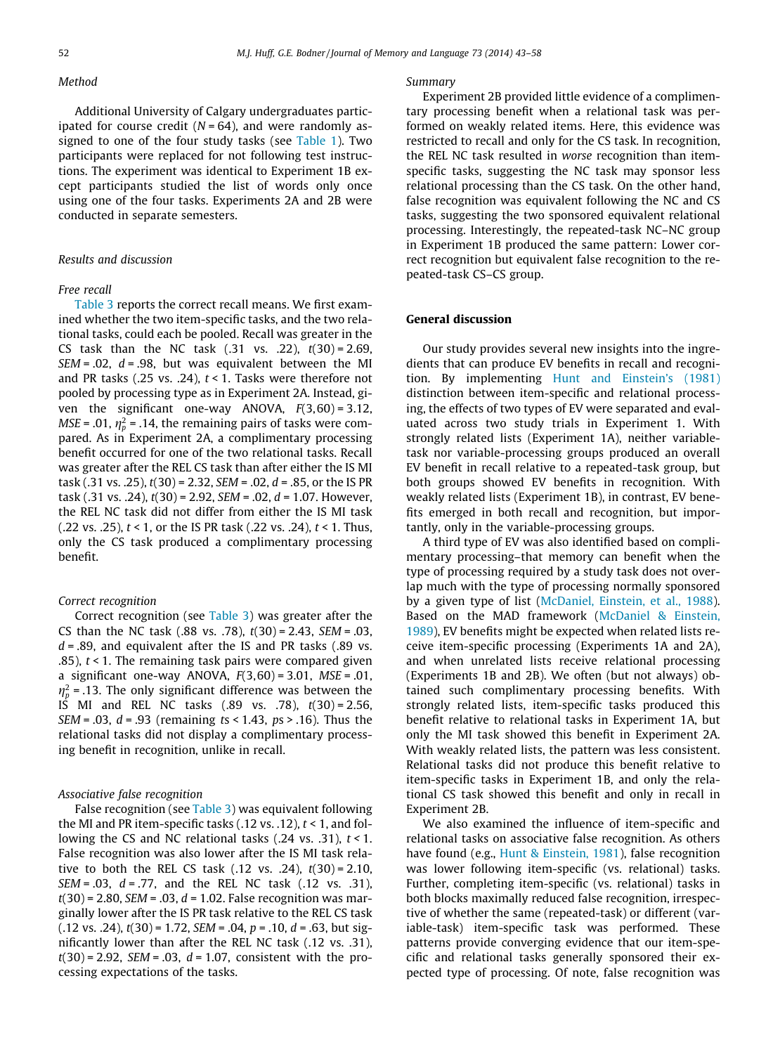## Method

Additional University of Calgary undergraduates participated for course credit ( $N = 64$ ), and were randomly assigned to one of the four study tasks (see [Table 1\)](#page-3-0). Two participants were replaced for not following test instructions. The experiment was identical to Experiment 1B except participants studied the list of words only once using one of the four tasks. Experiments 2A and 2B were conducted in separate semesters.

#### Results and discussion

## Free recall

[Table 3](#page-7-0) reports the correct recall means. We first examined whether the two item-specific tasks, and the two relational tasks, could each be pooled. Recall was greater in the CS task than the NC task  $(.31 \text{ vs. } .22)$ ,  $t(30) = 2.69$ ,  $SEM = .02$ ,  $d = .98$ , but was equivalent between the MI and PR tasks (.25 vs. .24),  $t < 1$ . Tasks were therefore not pooled by processing type as in Experiment 2A. Instead, given the significant one-way ANOVA,  $F(3,60) = 3.12$ , *MSE* = .01,  $\eta_p^2$  = .14, the remaining pairs of tasks were compared. As in Experiment 2A, a complimentary processing benefit occurred for one of the two relational tasks. Recall was greater after the REL CS task than after either the IS MI task (.31 vs. .25),  $t(30) = 2.32$ ,  $SEM = .02$ ,  $d = .85$ , or the IS PR task (.31 vs. .24),  $t(30)$  = 2.92, *SEM* = .02,  $d$  = 1.07. However, the REL NC task did not differ from either the IS MI task (.22 vs. .25),  $t < 1$ , or the IS PR task (.22 vs. .24),  $t < 1$ . Thus, only the CS task produced a complimentary processing benefit.

## Correct recognition

Correct recognition (see [Table 3\)](#page-7-0) was greater after the CS than the NC task (.88 vs. .78),  $t(30) = 2.43$ ,  $SEM = .03$ ,  $d = .89$ , and equivalent after the IS and PR tasks (.89 vs. .85),  $t < 1$ . The remaining task pairs were compared given a significant one-way ANOVA,  $F(3,60) = 3.01$ ,  $MSE = .01$ ,  $\eta_p^2$  = .13. The only significant difference was between the IS MI and REL NC tasks  $(.89 \text{ vs. } .78)$ ,  $t(30) = 2.56$ , SEM = .03,  $d = .93$  (remaining ts < 1.43,  $ps > .16$ ). Thus the relational tasks did not display a complimentary processing benefit in recognition, unlike in recall.

## Associative false recognition

False recognition (see [Table 3\)](#page-7-0) was equivalent following the MI and PR item-specific tasks  $(.12 \text{ vs. } .12)$ ,  $t < 1$ , and following the CS and NC relational tasks  $(.24 \text{ vs. } .31)$ ,  $t < 1$ . False recognition was also lower after the IS MI task relative to both the REL CS task  $(.12 \text{ vs. } .24)$ ,  $t(30) = 2.10$ ,  $SEM = .03$ ,  $d = .77$ , and the REL NC task  $(.12 \text{ vs. } .31)$ ,  $t(30)$  = 2.80, SEM = .03,  $d$  = 1.02. False recognition was marginally lower after the IS PR task relative to the REL CS task  $(.12 \text{ vs. } .24), t(30) = 1.72, \text{ SEM} = .04, p = .10, d = .63, but sig$ nificantly lower than after the REL NC task (.12 vs. .31),  $t(30) = 2.92$ , SEM = .03,  $d = 1.07$ , consistent with the processing expectations of the tasks.

#### Summary

Experiment 2B provided little evidence of a complimentary processing benefit when a relational task was performed on weakly related items. Here, this evidence was restricted to recall and only for the CS task. In recognition, the REL NC task resulted in worse recognition than itemspecific tasks, suggesting the NC task may sponsor less relational processing than the CS task. On the other hand, false recognition was equivalent following the NC and CS tasks, suggesting the two sponsored equivalent relational processing. Interestingly, the repeated-task NC–NC group in Experiment 1B produced the same pattern: Lower correct recognition but equivalent false recognition to the repeated-task CS–CS group.

#### General discussion

Our study provides several new insights into the ingredients that can produce EV benefits in recall and recognition. By implementing [Hunt and Einstein's \(1981\)](#page-15-0) distinction between item-specific and relational processing, the effects of two types of EV were separated and evaluated across two study trials in Experiment 1. With strongly related lists (Experiment 1A), neither variabletask nor variable-processing groups produced an overall EV benefit in recall relative to a repeated-task group, but both groups showed EV benefits in recognition. With weakly related lists (Experiment 1B), in contrast, EV benefits emerged in both recall and recognition, but importantly, only in the variable-processing groups.

A third type of EV was also identified based on complimentary processing–that memory can benefit when the type of processing required by a study task does not overlap much with the type of processing normally sponsored by a given type of list ([McDaniel, Einstein, et al., 1988](#page-15-0)). Based on the MAD framework [\(McDaniel & Einstein,](#page-15-0) [1989](#page-15-0)), EV benefits might be expected when related lists receive item-specific processing (Experiments 1A and 2A), and when unrelated lists receive relational processing (Experiments 1B and 2B). We often (but not always) obtained such complimentary processing benefits. With strongly related lists, item-specific tasks produced this benefit relative to relational tasks in Experiment 1A, but only the MI task showed this benefit in Experiment 2A. With weakly related lists, the pattern was less consistent. Relational tasks did not produce this benefit relative to item-specific tasks in Experiment 1B, and only the relational CS task showed this benefit and only in recall in Experiment 2B.

We also examined the influence of item-specific and relational tasks on associative false recognition. As others have found (e.g., [Hunt & Einstein, 1981\)](#page-15-0), false recognition was lower following item-specific (vs. relational) tasks. Further, completing item-specific (vs. relational) tasks in both blocks maximally reduced false recognition, irrespective of whether the same (repeated-task) or different (variable-task) item-specific task was performed. These patterns provide converging evidence that our item-specific and relational tasks generally sponsored their expected type of processing. Of note, false recognition was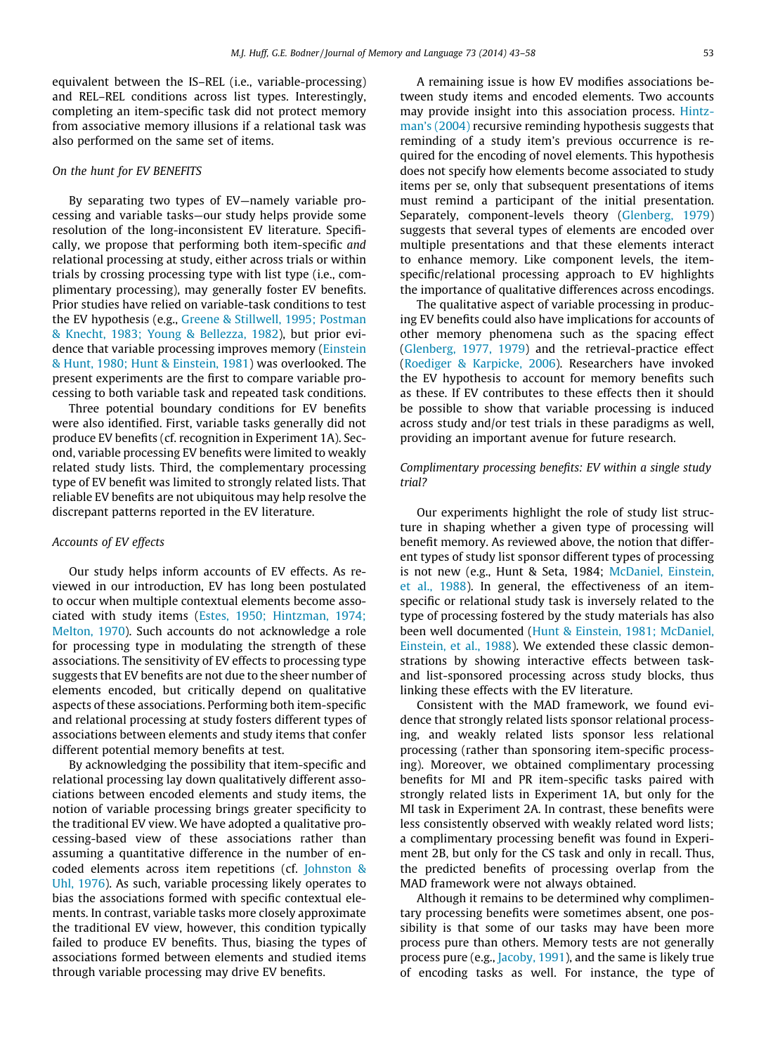equivalent between the IS–REL (i.e., variable-processing) and REL–REL conditions across list types. Interestingly, completing an item-specific task did not protect memory from associative memory illusions if a relational task was also performed on the same set of items.

## On the hunt for EV BENEFITS

By separating two types of EV—namely variable processing and variable tasks—our study helps provide some resolution of the long-inconsistent EV literature. Specifically, we propose that performing both item-specific and relational processing at study, either across trials or within trials by crossing processing type with list type (i.e., complimentary processing), may generally foster EV benefits. Prior studies have relied on variable-task conditions to test the EV hypothesis (e.g., [Greene & Stillwell, 1995; Postman](#page-14-0) [& Knecht, 1983; Young & Bellezza, 1982](#page-14-0)), but prior evidence that variable processing improves memory ([Einstein](#page-14-0) [& Hunt, 1980; Hunt & Einstein, 1981\)](#page-14-0) was overlooked. The present experiments are the first to compare variable processing to both variable task and repeated task conditions.

Three potential boundary conditions for EV benefits were also identified. First, variable tasks generally did not produce EV benefits (cf. recognition in Experiment 1A). Second, variable processing EV benefits were limited to weakly related study lists. Third, the complementary processing type of EV benefit was limited to strongly related lists. That reliable EV benefits are not ubiquitous may help resolve the discrepant patterns reported in the EV literature.

#### Accounts of EV effects

Our study helps inform accounts of EV effects. As reviewed in our introduction, EV has long been postulated to occur when multiple contextual elements become associated with study items [\(Estes, 1950; Hintzman, 1974;](#page-14-0) [Melton, 1970\)](#page-14-0). Such accounts do not acknowledge a role for processing type in modulating the strength of these associations. The sensitivity of EV effects to processing type suggests that EV benefits are not due to the sheer number of elements encoded, but critically depend on qualitative aspects of these associations. Performing both item-specific and relational processing at study fosters different types of associations between elements and study items that confer different potential memory benefits at test.

By acknowledging the possibility that item-specific and relational processing lay down qualitatively different associations between encoded elements and study items, the notion of variable processing brings greater specificity to the traditional EV view. We have adopted a qualitative processing-based view of these associations rather than assuming a quantitative difference in the number of encoded elements across item repetitions (cf. [Johnston &](#page-15-0) [Uhl, 1976\)](#page-15-0). As such, variable processing likely operates to bias the associations formed with specific contextual elements. In contrast, variable tasks more closely approximate the traditional EV view, however, this condition typically failed to produce EV benefits. Thus, biasing the types of associations formed between elements and studied items through variable processing may drive EV benefits.

A remaining issue is how EV modifies associations between study items and encoded elements. Two accounts may provide insight into this association process. [Hintz](#page-14-0)[man's \(2004\)](#page-14-0) recursive reminding hypothesis suggests that reminding of a study item's previous occurrence is required for the encoding of novel elements. This hypothesis does not specify how elements become associated to study items per se, only that subsequent presentations of items must remind a participant of the initial presentation. Separately, component-levels theory [\(Glenberg, 1979](#page-14-0)) suggests that several types of elements are encoded over multiple presentations and that these elements interact to enhance memory. Like component levels, the itemspecific/relational processing approach to EV highlights the importance of qualitative differences across encodings.

The qualitative aspect of variable processing in producing EV benefits could also have implications for accounts of other memory phenomena such as the spacing effect [\(Glenberg, 1977, 1979\)](#page-14-0) and the retrieval-practice effect [\(Roediger & Karpicke, 2006](#page-15-0)). Researchers have invoked the EV hypothesis to account for memory benefits such as these. If EV contributes to these effects then it should be possible to show that variable processing is induced across study and/or test trials in these paradigms as well, providing an important avenue for future research.

## Complimentary processing benefits: EV within a single study trial?

Our experiments highlight the role of study list structure in shaping whether a given type of processing will benefit memory. As reviewed above, the notion that different types of study list sponsor different types of processing is not new (e.g., Hunt & Seta, 1984; [McDaniel, Einstein,](#page-15-0) [et al., 1988\)](#page-15-0). In general, the effectiveness of an itemspecific or relational study task is inversely related to the type of processing fostered by the study materials has also been well documented [\(Hunt & Einstein, 1981; McDaniel,](#page-15-0) [Einstein, et al., 1988\)](#page-15-0). We extended these classic demonstrations by showing interactive effects between taskand list-sponsored processing across study blocks, thus linking these effects with the EV literature.

Consistent with the MAD framework, we found evidence that strongly related lists sponsor relational processing, and weakly related lists sponsor less relational processing (rather than sponsoring item-specific processing). Moreover, we obtained complimentary processing benefits for MI and PR item-specific tasks paired with strongly related lists in Experiment 1A, but only for the MI task in Experiment 2A. In contrast, these benefits were less consistently observed with weakly related word lists; a complimentary processing benefit was found in Experiment 2B, but only for the CS task and only in recall. Thus, the predicted benefits of processing overlap from the MAD framework were not always obtained.

Although it remains to be determined why complimentary processing benefits were sometimes absent, one possibility is that some of our tasks may have been more process pure than others. Memory tests are not generally process pure (e.g., [Jacoby, 1991](#page-15-0)), and the same is likely true of encoding tasks as well. For instance, the type of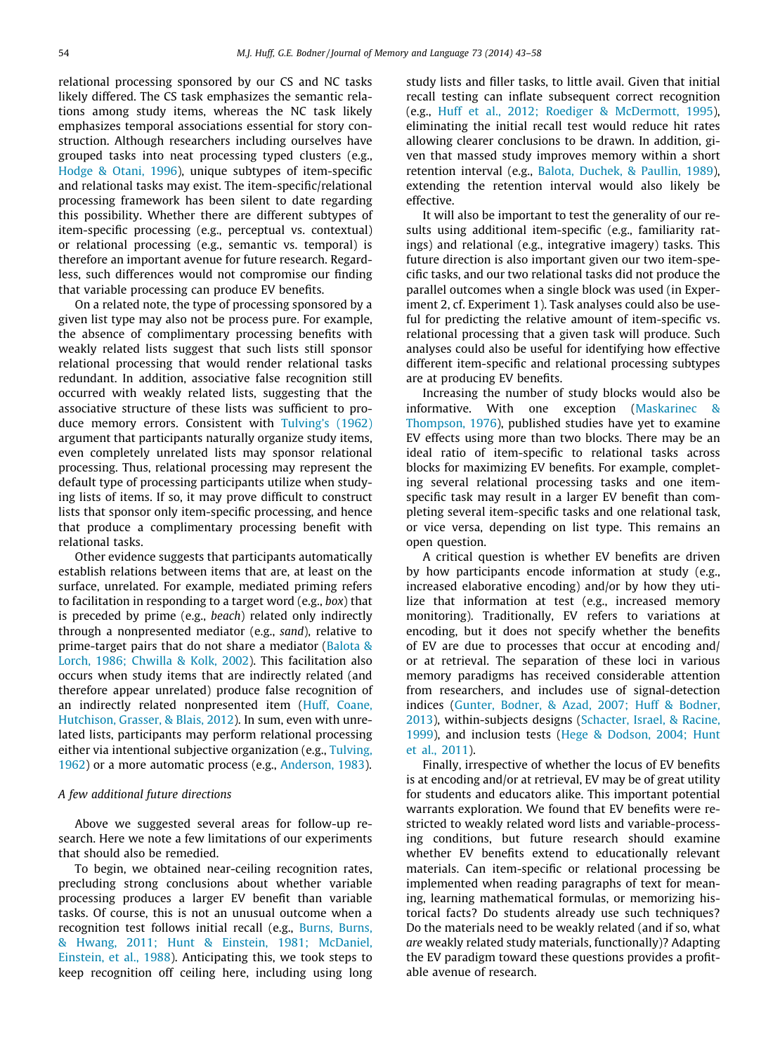relational processing sponsored by our CS and NC tasks likely differed. The CS task emphasizes the semantic relations among study items, whereas the NC task likely emphasizes temporal associations essential for story construction. Although researchers including ourselves have grouped tasks into neat processing typed clusters (e.g., [Hodge & Otani, 1996\)](#page-14-0), unique subtypes of item-specific and relational tasks may exist. The item-specific/relational processing framework has been silent to date regarding this possibility. Whether there are different subtypes of item-specific processing (e.g., perceptual vs. contextual) or relational processing (e.g., semantic vs. temporal) is therefore an important avenue for future research. Regardless, such differences would not compromise our finding that variable processing can produce EV benefits.

On a related note, the type of processing sponsored by a given list type may also not be process pure. For example, the absence of complimentary processing benefits with weakly related lists suggest that such lists still sponsor relational processing that would render relational tasks redundant. In addition, associative false recognition still occurred with weakly related lists, suggesting that the associative structure of these lists was sufficient to produce memory errors. Consistent with [Tulving's \(1962\)](#page-15-0) argument that participants naturally organize study items, even completely unrelated lists may sponsor relational processing. Thus, relational processing may represent the default type of processing participants utilize when studying lists of items. If so, it may prove difficult to construct lists that sponsor only item-specific processing, and hence that produce a complimentary processing benefit with relational tasks.

Other evidence suggests that participants automatically establish relations between items that are, at least on the surface, unrelated. For example, mediated priming refers to facilitation in responding to a target word (e.g., box) that is preceded by prime (e.g., beach) related only indirectly through a nonpresented mediator (e.g., sand), relative to prime-target pairs that do not share a mediator [\(Balota &](#page-14-0) [Lorch, 1986; Chwilla & Kolk, 2002](#page-14-0)). This facilitation also occurs when study items that are indirectly related (and therefore appear unrelated) produce false recognition of an indirectly related nonpresented item [\(Huff, Coane,](#page-15-0) [Hutchison, Grasser, & Blais, 2012\)](#page-15-0). In sum, even with unrelated lists, participants may perform relational processing either via intentional subjective organization (e.g., [Tulving,](#page-15-0) [1962](#page-15-0)) or a more automatic process (e.g., [Anderson, 1983](#page-14-0)).

#### A few additional future directions

Above we suggested several areas for follow-up research. Here we note a few limitations of our experiments that should also be remedied.

To begin, we obtained near-ceiling recognition rates, precluding strong conclusions about whether variable processing produces a larger EV benefit than variable tasks. Of course, this is not an unusual outcome when a recognition test follows initial recall (e.g., [Burns, Burns,](#page-14-0) [& Hwang, 2011; Hunt & Einstein, 1981; McDaniel,](#page-14-0) [Einstein, et al., 1988](#page-14-0)). Anticipating this, we took steps to keep recognition off ceiling here, including using long study lists and filler tasks, to little avail. Given that initial recall testing can inflate subsequent correct recognition (e.g., [Huff et al., 2012; Roediger & McDermott, 1995\)](#page-15-0), eliminating the initial recall test would reduce hit rates allowing clearer conclusions to be drawn. In addition, given that massed study improves memory within a short retention interval (e.g., [Balota, Duchek, & Paullin, 1989\)](#page-14-0), extending the retention interval would also likely be effective.

It will also be important to test the generality of our results using additional item-specific (e.g., familiarity ratings) and relational (e.g., integrative imagery) tasks. This future direction is also important given our two item-specific tasks, and our two relational tasks did not produce the parallel outcomes when a single block was used (in Experiment 2, cf. Experiment 1). Task analyses could also be useful for predicting the relative amount of item-specific vs. relational processing that a given task will produce. Such analyses could also be useful for identifying how effective different item-specific and relational processing subtypes are at producing EV benefits.

Increasing the number of study blocks would also be informative. With one exception ([Maskarinec &](#page-15-0) [Thompson, 1976](#page-15-0)), published studies have yet to examine EV effects using more than two blocks. There may be an ideal ratio of item-specific to relational tasks across blocks for maximizing EV benefits. For example, completing several relational processing tasks and one itemspecific task may result in a larger EV benefit than completing several item-specific tasks and one relational task, or vice versa, depending on list type. This remains an open question.

A critical question is whether EV benefits are driven by how participants encode information at study (e.g., increased elaborative encoding) and/or by how they utilize that information at test (e.g., increased memory monitoring). Traditionally, EV refers to variations at encoding, but it does not specify whether the benefits of EV are due to processes that occur at encoding and/ or at retrieval. The separation of these loci in various memory paradigms has received considerable attention from researchers, and includes use of signal-detection indices [\(Gunter, Bodner, & Azad, 2007; Huff & Bodner,](#page-14-0) [2013](#page-14-0)), within-subjects designs ([Schacter, Israel, & Racine,](#page-15-0) [1999](#page-15-0)), and inclusion tests [\(Hege & Dodson, 2004; Hunt](#page-14-0) [et al., 2011](#page-14-0)).

Finally, irrespective of whether the locus of EV benefits is at encoding and/or at retrieval, EV may be of great utility for students and educators alike. This important potential warrants exploration. We found that EV benefits were restricted to weakly related word lists and variable-processing conditions, but future research should examine whether EV benefits extend to educationally relevant materials. Can item-specific or relational processing be implemented when reading paragraphs of text for meaning, learning mathematical formulas, or memorizing historical facts? Do students already use such techniques? Do the materials need to be weakly related (and if so, what are weakly related study materials, functionally)? Adapting the EV paradigm toward these questions provides a profitable avenue of research.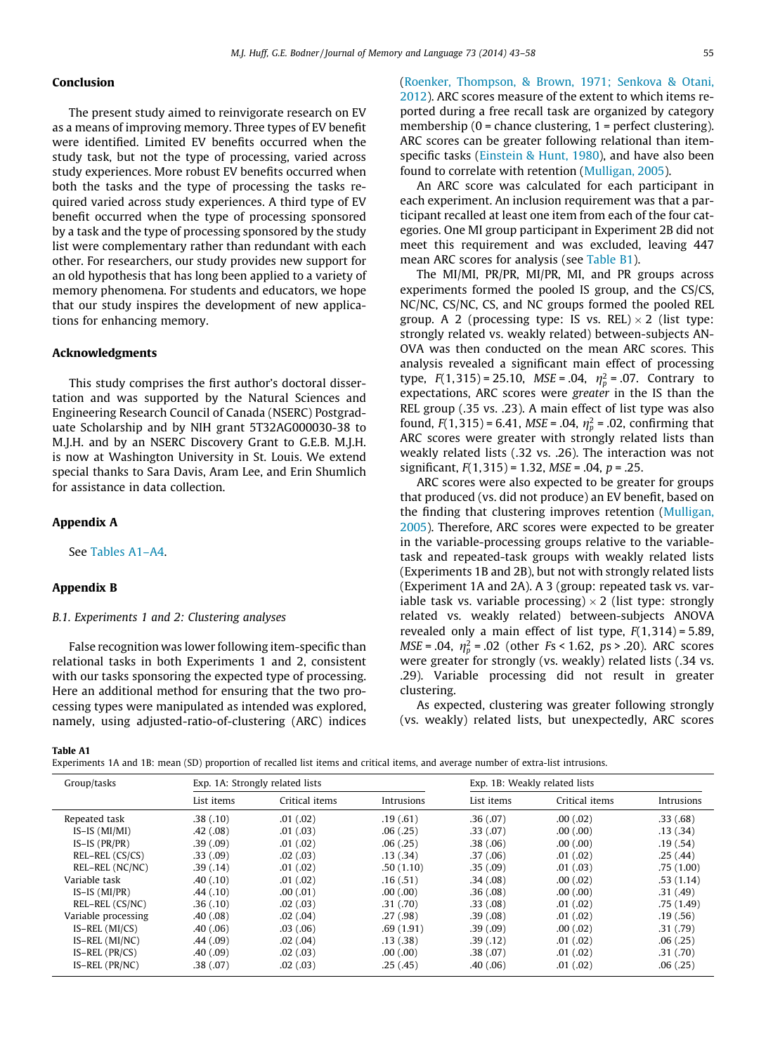#### Conclusion

The present study aimed to reinvigorate research on EV as a means of improving memory. Three types of EV benefit were identified. Limited EV benefits occurred when the study task, but not the type of processing, varied across study experiences. More robust EV benefits occurred when both the tasks and the type of processing the tasks required varied across study experiences. A third type of EV benefit occurred when the type of processing sponsored by a task and the type of processing sponsored by the study list were complementary rather than redundant with each other. For researchers, our study provides new support for an old hypothesis that has long been applied to a variety of memory phenomena. For students and educators, we hope that our study inspires the development of new applications for enhancing memory.

#### Acknowledgments

This study comprises the first author's doctoral dissertation and was supported by the Natural Sciences and Engineering Research Council of Canada (NSERC) Postgraduate Scholarship and by NIH grant 5T32AG000030-38 to M.J.H. and by an NSERC Discovery Grant to G.E.B. M.J.H. is now at Washington University in St. Louis. We extend special thanks to Sara Davis, Aram Lee, and Erin Shumlich for assistance in data collection.

## Appendix A

See Tables A1–A4.

## Appendix B

#### B.1. Experiments 1 and 2: Clustering analyses

False recognition was lower following item-specific than relational tasks in both Experiments 1 and 2, consistent with our tasks sponsoring the expected type of processing. Here an additional method for ensuring that the two processing types were manipulated as intended was explored, namely, using adjusted-ratio-of-clustering (ARC) indices [\(Roenker, Thompson, & Brown, 1971; Senkova & Otani,](#page-15-0) [2012\)](#page-15-0). ARC scores measure of the extent to which items reported during a free recall task are organized by category membership (0 = chance clustering, 1 = perfect clustering). ARC scores can be greater following relational than itemspecific tasks ([Einstein & Hunt, 1980](#page-14-0)), and have also been found to correlate with retention ([Mulligan, 2005](#page-15-0)).

An ARC score was calculated for each participant in each experiment. An inclusion requirement was that a participant recalled at least one item from each of the four categories. One MI group participant in Experiment 2B did not meet this requirement and was excluded, leaving 447 mean ARC scores for analysis (see [Table B1](#page-14-0)).

The MI/MI, PR/PR, MI/PR, MI, and PR groups across experiments formed the pooled IS group, and the CS/CS, NC/NC, CS/NC, CS, and NC groups formed the pooled REL group. A 2 (processing type: IS vs. REL)  $\times$  2 (list type: strongly related vs. weakly related) between-subjects AN-OVA was then conducted on the mean ARC scores. This analysis revealed a significant main effect of processing type,  $F(1,315) = 25.10$ ,  $MSE = .04$ ,  $\eta_p^2 = .07$ . Contrary to expectations, ARC scores were greater in the IS than the REL group (.35 vs. .23). A main effect of list type was also found,  $F(1,315) = 6.41$ ,  $MSE = .04$ ,  $\eta_p^2 = .02$ , confirming that ARC scores were greater with strongly related lists than weakly related lists (.32 vs. .26). The interaction was not significant,  $F(1,315) = 1.32$ ,  $MSE = .04$ ,  $p = .25$ .

ARC scores were also expected to be greater for groups that produced (vs. did not produce) an EV benefit, based on the finding that clustering improves retention ([Mulligan,](#page-15-0) [2005\)](#page-15-0). Therefore, ARC scores were expected to be greater in the variable-processing groups relative to the variabletask and repeated-task groups with weakly related lists (Experiments 1B and 2B), but not with strongly related lists (Experiment 1A and 2A). A 3 (group: repeated task vs. variable task vs. variable processing)  $\times$  2 (list type: strongly related vs. weakly related) between-subjects ANOVA revealed only a main effect of list type,  $F(1,314) = 5.89$ ,  $MSE = .04$ ,  $\eta_p^2 = .02$  (other  $Fs < 1.62$ ,  $ps > .20$ ). ARC scores were greater for strongly (vs. weakly) related lists (.34 vs. .29). Variable processing did not result in greater clustering.

As expected, clustering was greater following strongly (vs. weakly) related lists, but unexpectedly, ARC scores

#### Table A1

Experiments 1A and 1B: mean (SD) proportion of recalled list items and critical items, and average number of extra-list intrusions.

| Group/tasks         |            | Exp. 1A: Strongly related lists |            |            | Exp. 1B: Weakly related lists |            |  |  |
|---------------------|------------|---------------------------------|------------|------------|-------------------------------|------------|--|--|
|                     | List items | Critical items                  | Intrusions | List items | Critical items                | Intrusions |  |  |
| Repeated task       | .38(.10)   | .01(.02)                        | .19(.61)   | .36(.07)   | .00(.02)                      | .33(.68)   |  |  |
| $IS-IS$ ( $MI/MI$ ) | .42(.08)   | .01(.03)                        | .06(0.25)  | .33(.07)   | .00(.00)                      | .13(.34)   |  |  |
| $IS-IS$ ( $PR/PR$ ) | .39(.09)   | .01(.02)                        | .06(0.25)  | .38(.06)   | .00(.00)                      | .19(.54)   |  |  |
| REL-REL (CS/CS)     | .33(.09)   | .02(.03)                        | .13(0.34)  | .37(.06)   | .01(.02)                      | .25(.44)   |  |  |
| REL-REL (NC/NC)     | .39(.14)   | .01(.02)                        | .50(1.10)  | .35(.09)   | .01(.03)                      | .75(1.00)  |  |  |
| Variable task       | .40(.10)   | .01(.02)                        | .16(0.51)  | .34(.08)   | .00(.02)                      | .53(1.14)  |  |  |
| $IS-IS$ ( $MI/PR$ ) | .44(.10)   | .00(0.01)                       | .00(.00)   | .36(.08)   | .00(.00)                      | .31(.49)   |  |  |
| REL-REL (CS/NC)     | .36(.10)   | .02(0.03)                       | .31(.70)   | .33(.08)   | .01(.02)                      | .75(1.49)  |  |  |
| Variable processing | .40(.08)   | .02(.04)                        | .27(.98)   | .39(.08)   | .01(.02)                      | .19(.56)   |  |  |
| $IS-REL (MI/CS)$    | .40(0.06)  | .03(.06)                        | .69(1.91)  | .39(.09)   | .00(.02)                      | .31(.79)   |  |  |
| IS-REL (MI/NC)      | .44(.09)   | .02(0.04)                       | .13(0.38)  | .39(.12)   | .01(.02)                      | .06(.25)   |  |  |
| IS-REL (PR/CS)      | .40(.09)   | .02(.03)                        | .00(.00)   | .38(.07)   | .01(.02)                      | .31(.70)   |  |  |
| IS-REL (PR/NC)      | .38(.07)   | .02(.03)                        | .25(0.45)  | .40(0.06)  | .01(.02)                      | .06(.25)   |  |  |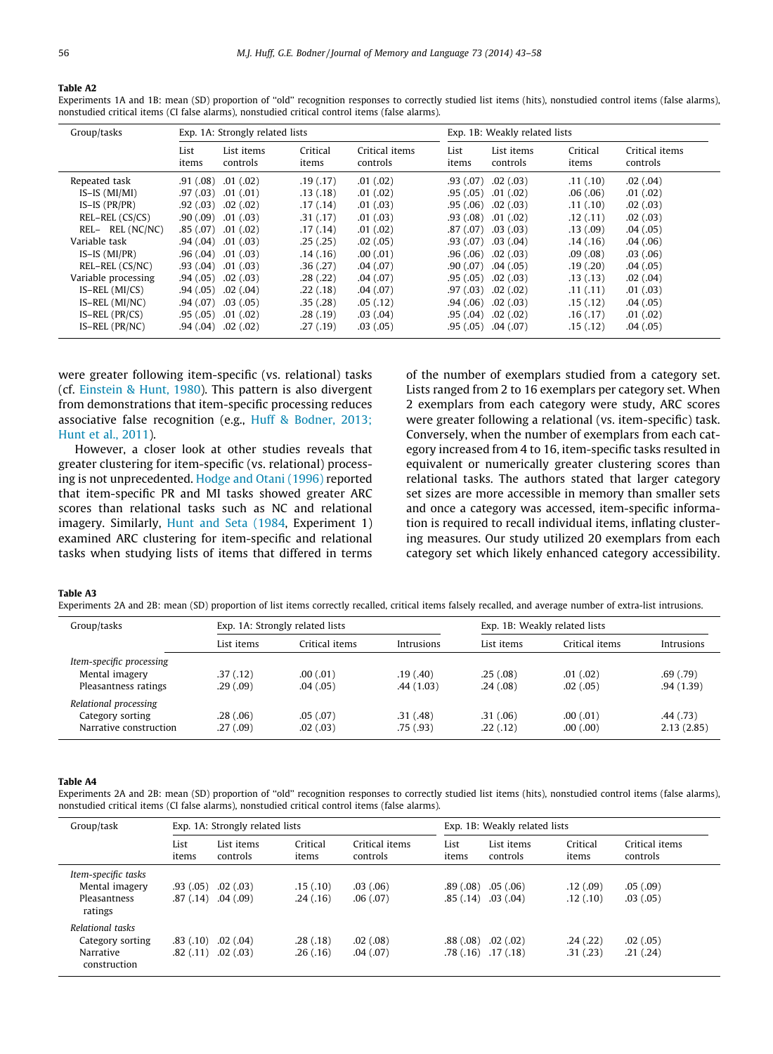#### <span id="page-13-0"></span>Table A2

Experiments 1A and 1B: mean (SD) proportion of "old" recognition responses to correctly studied list items (hits), nonstudied control items (false alarms), nonstudied critical items (CI false alarms), nonstudied critical control items (false alarms).

| Group/tasks          | Exp. 1A: Strongly related lists |            |           |                | Exp. 1B: Weakly related lists |            |           |                |
|----------------------|---------------------------------|------------|-----------|----------------|-------------------------------|------------|-----------|----------------|
|                      | List                            | List items | Critical  | Critical items | List                          | List items | Critical  | Critical items |
|                      | items                           | controls   | items     | controls       | items                         | controls   | items     | controls       |
| Repeated task        | .91(.08)                        | .01(.02)   | .19(.17)  | .01(.02)       | .93(.07)                      | .02(.03)   | .11(.10)  | .02(.04)       |
| $IS-IS$ ( $MI/MI$ )  | .97(0.03)                       | .01(.01)   | .13(.18)  | .01(.02)       | .95(.05)                      | .01(.02)   | .06(.06)  | .01(.02)       |
| $IS-IS$ ( $PR/PR$ )  | .92(.03)                        | .02(0.02)  | .17(0.14) | .01(.03)       | .95(.06)                      | .02(0.03)  | .11(.10)  | .02(.03)       |
| REL-REL (CS/CS)      | .90(.09)                        | .01(.03)   | .31(.17)  | .01(.03)       | .93(0.08)                     | .01(.02)   | .12(.11)  | .02(.03)       |
| REL- REL (NC/NC)     | .85(.07)                        | .01(.02)   | .17(0.14) | .01(.02)       | .87(.07)                      | .03(0.03)  | .13(0.09) | .04(.05)       |
| Variable task        | .94(.04)                        | .01(.03)   | .25(.25)  | .02(.05)       | .93(.07)                      | .03(0.04)  | .14(0.16) | .04(.06)       |
| $IS-IS$ ( $MI/PR$ )  | .96(.04)                        | .01(.03)   | .14(0.16) | .00(0.01)      | .96(.06)                      | .02(.03)   | .09(0.08) | .03(.06)       |
| REL-REL (CS/NC)      | .93(0.04)                       | .01(.03)   | .36(.27)  | .04(.07)       | .90(0.07)                     | .04(0.05)  | .19(.20)  | .04(.05)       |
| Variable processing  | .94(.05)                        | .02(.03)   | .28(.22)  | .04(.07)       | .95(.05)                      | .02(.03)   | .13(.13)  | .02(.04)       |
| IS-REL (MI/CS)       | .94(.05)                        | .02(.04)   | .22(.18)  | .04(.07)       | .97(.03)                      | .02(.02)   | .11(.11)  | .01(.03)       |
| IS-REL (MI/NC)       | .94(.07)                        | .03(0.05)  | .35(.28)  | .05(.12)       | .94(.06)                      | .02(.03)   | .15(.12)  | .04(.05)       |
| $IS-REL$ ( $PR/CS$ ) | .95(.05)                        | .01(.02)   | .28(.19)  | .03(0.04)      | .95(.04)                      | .02(.02)   | .16(0.17) | .01(.02)       |
| IS-REL (PR/NC)       | .94(0.04)                       | .02(.02)   | .27(.19)  | .03(0.05)      | .95(.05)                      | .04(.07)   | .15(.12)  | .04(.05)       |

were greater following item-specific (vs. relational) tasks (cf. [Einstein & Hunt, 1980](#page-14-0)). This pattern is also divergent from demonstrations that item-specific processing reduces associative false recognition (e.g., [Huff & Bodner, 2013;](#page-15-0) [Hunt et al., 2011\)](#page-15-0).

However, a closer look at other studies reveals that greater clustering for item-specific (vs. relational) processing is not unprecedented. [Hodge and Otani \(1996\)](#page-14-0) reported that item-specific PR and MI tasks showed greater ARC scores than relational tasks such as NC and relational imagery. Similarly, [Hunt and Seta \(1984,](#page-15-0) Experiment 1) examined ARC clustering for item-specific and relational tasks when studying lists of items that differed in terms

of the number of exemplars studied from a category set. Lists ranged from 2 to 16 exemplars per category set. When 2 exemplars from each category were study, ARC scores were greater following a relational (vs. item-specific) task. Conversely, when the number of exemplars from each category increased from 4 to 16, item-specific tasks resulted in equivalent or numerically greater clustering scores than relational tasks. The authors stated that larger category set sizes are more accessible in memory than smaller sets and once a category was accessed, item-specific information is required to recall individual items, inflating clustering measures. Our study utilized 20 exemplars from each category set which likely enhanced category accessibility.

Table A3

Experiments 2A and 2B: mean (SD) proportion of list items correctly recalled, critical items falsely recalled, and average number of extra-list intrusions.

| Group/tasks                                                         | Exp. 1A: Strongly related lists |                       |                       |                      | Exp. 1B: Weakly related lists |                        |  |  |
|---------------------------------------------------------------------|---------------------------------|-----------------------|-----------------------|----------------------|-------------------------------|------------------------|--|--|
|                                                                     | List items                      | Critical items        | Intrusions            | List items           | Critical items                | Intrusions             |  |  |
| Item-specific processing<br>Mental imagery<br>Pleasantness ratings  | .37(.12)<br>.29(.09)            | .00(0.01)<br>.04(.05) | .19(.40)<br>.44(1.03) | .25(.08)<br>.24(.08) | .01(.02)<br>.02(.05)          | .69(.79)<br>.94(1.39)  |  |  |
| Relational processing<br>Category sorting<br>Narrative construction | .28(.06)<br>.27(.09)            | .05(.07)<br>.02(0.03) | .31(.48)<br>.75 (.93) | .31(.06)<br>.22(.12) | .00(0.01)<br>.00(.00)         | .44(.73)<br>2.13(2.85) |  |  |

#### Table A4

Experiments 2A and 2B: mean (SD) proportion of ''old'' recognition responses to correctly studied list items (hits), nonstudied control items (false alarms), nonstudied critical items (CI false alarms), nonstudied critical control items (false alarms).

| Group/task                                                        |                       | Exp. 1A: Strongly related lists |                      |                            |                      | Exp. 1B: Weakly related lists        |                      |                            |
|-------------------------------------------------------------------|-----------------------|---------------------------------|----------------------|----------------------------|----------------------|--------------------------------------|----------------------|----------------------------|
|                                                                   | List<br>items         | List items<br>controls          | Critical<br>items    | Critical items<br>controls | List<br>items        | List items<br>controls               | Critical<br>items    | Critical items<br>controls |
| Item-specific tasks<br>Mental imagery<br>Pleasantness<br>ratings  | .93(0.05)<br>.87(.14) | .02(.03)<br>.04(.09)            | .15(.10)<br>.24(.16) | .03(0.06)<br>.06(0.07)     | .89(.08)<br>.85(.14) | .05(.06)<br>.03(.04)                 | .12(.09)<br>.12(.10) | .05(.09)<br>.03(0.05)      |
| Relational tasks<br>Category sorting<br>Narrative<br>construction | .83(.10)<br>.82(.11)  | .02(0.04)<br>.02(.03)           | .28(.18)<br>.26(.16) | .02(.08)<br>.04(.07)       | .88(.08)             | .02(0.02)<br>$.78(0.16)$ $.17(0.18)$ | .24(.22)<br>.31(.23) | .02(0.05)<br>.21(.24)      |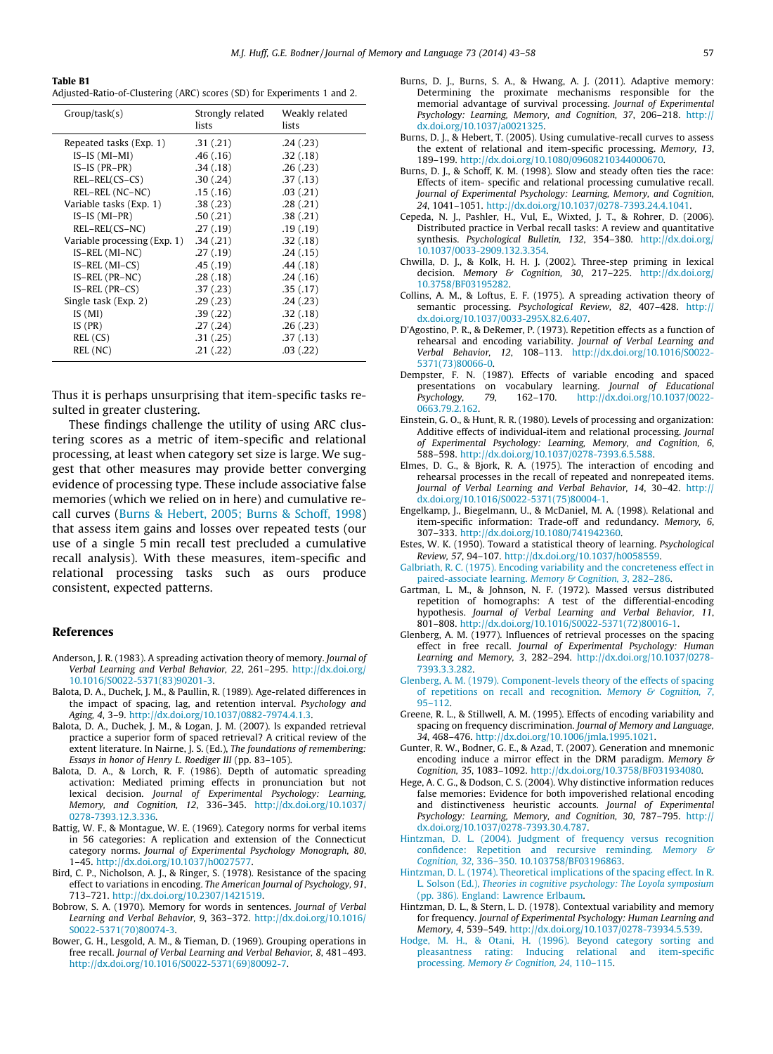#### <span id="page-14-0"></span>Table B1

Adjusted-Ratio-of-Clustering (ARC) scores (SD) for Experiments 1 and 2.

| Group/task(s)                | Strongly related<br>lists | Weakly related<br>lists |
|------------------------------|---------------------------|-------------------------|
| Repeated tasks (Exp. 1)      | .31(.21)                  | .24(.23)                |
| $IS-IS$ ( $MI-MI$ )          | .46(.16)                  | .32(.18)                |
| $IS-IS$ ( $PR-PR$ )          | .34(.18)                  | .26(.23)                |
| REL-REL(CS-CS)               | .30(.24)                  | .37(.13)                |
| REL-REL (NC-NC)              | .15( .16)                 | .03(.21)                |
| Variable tasks (Exp. 1)      | .38(.23)                  | .28(.21)                |
| $IS-IS$ ( $MI-PR$ )          | .50 (.21)                 | .38(.21)                |
| REL-REL(CS-NC)               | .27(.19)                  | .19(.19)                |
| Variable processing (Exp. 1) | .34(.21)                  | .32(.18)                |
| IS-REL (MI-NC)               | .27 (.19)                 | .24(.15)                |
| IS-REL (MI-CS)               | .45(.19)                  | .44(.18)                |
| IS-REL (PR-NC)               | .28(.18)                  | .24(.16)                |
| IS-REL (PR-CS)               | .37(.23)                  | .35(.17)                |
| Single task (Exp. 2)         | .29(.23)                  | .24(.23)                |
| IS(MI)                       | .39(.22)                  | .32(.18)                |
| $IS$ ( $PR$ )                | .27(.24)                  | .26(.23)                |
| REL (CS)                     | .31(.25)                  | .37(.13)                |
| REL (NC)                     | .21(.22)                  | .03(.22)                |

Thus it is perhaps unsurprising that item-specific tasks resulted in greater clustering.

These findings challenge the utility of using ARC clustering scores as a metric of item-specific and relational processing, at least when category set size is large. We suggest that other measures may provide better converging evidence of processing type. These include associative false memories (which we relied on in here) and cumulative recall curves (Burns & Hebert, 2005; Burns & Schoff, 1998) that assess item gains and losses over repeated tests (our use of a single 5 min recall test precluded a cumulative recall analysis). With these measures, item-specific and relational processing tasks such as ours produce consistent, expected patterns.

#### References

- Anderson, J. R. (1983). A spreading activation theory of memory. Journal of Verbal Learning and Verbal Behavior, 22, 261–295. [http://dx.doi.org/](http://dx.doi.org/10.1016/S0022-5371(83)90201-3) [10.1016/S0022-5371\(83\)90201-3.](http://dx.doi.org/10.1016/S0022-5371(83)90201-3)
- Balota, D. A., Duchek, J. M., & Paullin, R. (1989). Age-related differences in the impact of spacing, lag, and retention interval. Psychology and Aging, 4, 3–9. <http://dx.doi.org/10.1037/0882-7974.4.1.3>.
- Balota, D. A., Duchek, J. M., & Logan, J. M. (2007). Is expanded retrieval practice a superior form of spaced retrieval? A critical review of the extent literature. In Nairne, J. S. (Ed.), The foundations of remembering: Essays in honor of Henry L. Roediger III (pp. 83–105).
- Balota, D. A., & Lorch, R. F. (1986). Depth of automatic spreading activation: Mediated priming effects in pronunciation but not lexical decision. Journal of Experimental Psychology: Learning, Memory, and Cognition, 12, 336–345. [http://dx.doi.org/10.1037/](http://dx.doi.org/10.1037/0278-7393.12.3.336) [0278-7393.12.3.336.](http://dx.doi.org/10.1037/0278-7393.12.3.336)
- Battig, W. F., & Montague, W. E. (1969). Category norms for verbal items in 56 categories: A replication and extension of the Connecticut category norms. Journal of Experimental Psychology Monograph, 80, 1–45. <http://dx.doi.org/10.1037/h0027577>.
- Bird, C. P., Nicholson, A. J., & Ringer, S. (1978). Resistance of the spacing effect to variations in encoding. The American Journal of Psychology, 91, 713–721. [http://dx.doi.org/10.2307/1421519.](http://dx.doi.org/10.2307/1421519)
- Bobrow, S. A. (1970). Memory for words in sentences. Journal of Verbal Learning and Verbal Behavior, 9, 363–372. [http://dx.doi.org/10.1016/](http://dx.doi.org/10.1016/S0022-5371(70)80074-3) [S0022-5371\(70\)80074-3](http://dx.doi.org/10.1016/S0022-5371(70)80074-3).
- Bower, G. H., Lesgold, A. M., & Tieman, D. (1969). Grouping operations in free recall. Journal of Verbal Learning and Verbal Behavior, 8, 481–493. [http://dx.doi.org/10.1016/S0022-5371\(69\)80092-7.](http://dx.doi.org/10.1016/S0022-5371(69)80092-7)
- Burns, D. J., Burns, S. A., & Hwang, A. J. (2011). Adaptive memory: Determining the proximate mechanisms responsible for the memorial advantage of survival processing. Journal of Experimental Psychology: Learning, Memory, and Cognition, 37, 206–218. [http://](http://dx.doi.org/10.1037/a0021325) [dx.doi.org/10.1037/a0021325.](http://dx.doi.org/10.1037/a0021325)
- Burns, D. J., & Hebert, T. (2005). Using cumulative-recall curves to assess the extent of relational and item-specific processing. Memory, 13, 189–199. <http://dx.doi.org/10.1080/09608210344000670>.
- Burns, D. J., & Schoff, K. M. (1998). Slow and steady often ties the race: Effects of item- specific and relational processing cumulative recall. Journal of Experimental Psychology: Learning, Memory, and Cognition, 24, 1041–1051. [http://dx.doi.org/10.1037/0278-7393.24.4.1041.](http://dx.doi.org/10.1037/0278-7393.24.4.1041)
- Cepeda, N. J., Pashler, H., Vul, E., Wixted, J. T., & Rohrer, D. (2006). Distributed practice in Verbal recall tasks: A review and quantitative synthesis. Psychological Bulletin, 132, 354–380. [http://dx.doi.org/](http://dx.doi.org/10.1037/0033-2909.132.3.354) [10.1037/0033-2909.132.3.354.](http://dx.doi.org/10.1037/0033-2909.132.3.354)
- Chwilla, D. J., & Kolk, H. H. J. (2002). Three-step priming in lexical decision. Memory & Cognition, 30, 217-225. [http://dx.doi.org/](http://dx.doi.org/10.3758/BF03195282) [10.3758/BF03195282](http://dx.doi.org/10.3758/BF03195282).
- Collins, A. M., & Loftus, E. F. (1975). A spreading activation theory of semantic processing. Psychological Review, 82, 407–428. [http://](http://dx.doi.org/10.1037/0033-295X.82.6.407) [dx.doi.org/10.1037/0033-295X.82.6.407](http://dx.doi.org/10.1037/0033-295X.82.6.407).
- D'Agostino, P. R., & DeRemer, P. (1973). Repetition effects as a function of rehearsal and encoding variability. Journal of Verbal Learning and Verbal Behavior, 12, 108–113. [http://dx.doi.org/10.1016/S0022-](http://dx.doi.org/10.1016/S0022-5371(73)80066-0) [5371\(73\)80066-0](http://dx.doi.org/10.1016/S0022-5371(73)80066-0).
- Dempster, F. N. (1987). Effects of variable encoding and spaced presentations on vocabulary learning. Journal of Educational Psychology, 79, 162-170. http://dx.doi.org/10.1037/002279, 162–170. [http://dx.doi.org/10.1037/0022-](http://dx.doi.org/10.1037/0022-0663.79.2.162) [0663.79.2.162.](http://dx.doi.org/10.1037/0022-0663.79.2.162)
- Einstein, G. O., & Hunt, R. R. (1980). Levels of processing and organization: Additive effects of individual-item and relational processing. Journal of Experimental Psychology: Learning, Memory, and Cognition, 6, 588–598. [http://dx.doi.org/10.1037/0278-7393.6.5.588.](http://dx.doi.org/10.1037/0278-7393.6.5.588)
- Elmes, D. G., & Bjork, R. A. (1975). The interaction of encoding and rehearsal processes in the recall of repeated and nonrepeated items. Journal of Verbal Learning and Verbal Behavior, 14, 30–42. [http://](http://dx.doi.org/10.1016/S0022-5371(75)80004-1) [dx.doi.org/10.1016/S0022-5371\(75\)80004-1](http://dx.doi.org/10.1016/S0022-5371(75)80004-1).
- Engelkamp, J., Biegelmann, U., & McDaniel, M. A. (1998). Relational and item-specific information: Trade-off and redundancy. Memory, 6, 307–333. <http://dx.doi.org/10.1080/741942360>.
- Estes, W. K. (1950). Toward a statistical theory of learning. Psychological Review, 57, 94–107. [http://dx.doi.org/10.1037/h0058559.](http://dx.doi.org/10.1037/h0058559)
- [Galbriath, R. C. \(1975\). Encoding variability and the concreteness effect in](http://refhub.elsevier.com/S0749-596X(14)00015-1/h0105) [paired-associate learning.](http://refhub.elsevier.com/S0749-596X(14)00015-1/h0105) Memory & Cognition, 3, 282-286.
- Gartman, L. M., & Johnson, N. F. (1972). Massed versus distributed repetition of homographs: A test of the differential-encoding hypothesis. Journal of Verbal Learning and Verbal Behavior, 11, 801–808. [http://dx.doi.org/10.1016/S0022-5371\(72\)80016-1](http://dx.doi.org/10.1016/S0022-5371(72)80016-1).
- Glenberg, A. M. (1977). Influences of retrieval processes on the spacing effect in free recall. Journal of Experimental Psychology: Human Learning and Memory, 3, 282–294. [http://dx.doi.org/10.1037/0278-](http://dx.doi.org/10.1037/0278-7393.3.3.282) [7393.3.3.282.](http://dx.doi.org/10.1037/0278-7393.3.3.282)
- [Glenberg, A. M. \(1979\). Component-levels theory of the effects of spacing](http://refhub.elsevier.com/S0749-596X(14)00015-1/h0120) [of repetitions on recall and recognition.](http://refhub.elsevier.com/S0749-596X(14)00015-1/h0120) Memory & Cognition, 7, [95–112.](http://refhub.elsevier.com/S0749-596X(14)00015-1/h0120)
- Greene, R. L., & Stillwell, A. M. (1995). Effects of encoding variability and spacing on frequency discrimination. Journal of Memory and Language, 34, 468–476. [http://dx.doi.org/10.1006/jmla.1995.1021.](http://dx.doi.org/10.1006/jmla.1995.1021)
- Gunter, R. W., Bodner, G. E., & Azad, T. (2007). Generation and mnemonic encoding induce a mirror effect in the DRM paradigm. Memory & Cognition, 35, 1083–1092. <http://dx.doi.org/10.3758/BF031934080>.
- Hege, A. C. G., & Dodson, C. S. (2004). Why distinctive information reduces false memories: Evidence for both impoverished relational encoding and distinctiveness heuristic accounts. Journal of Experimental Psychology: Learning, Memory, and Cognition, 30, 787–795. [http://](http://dx.doi.org/10.1037/0278-7393.30.4.787) [dx.doi.org/10.1037/0278-7393.30.4.787.](http://dx.doi.org/10.1037/0278-7393.30.4.787)
- [Hintzman, D. L. \(2004\). Judgment of frequency versus recognition](http://refhub.elsevier.com/S0749-596X(14)00015-1/h0145) [confidence: Repetition and recursive reminding.](http://refhub.elsevier.com/S0749-596X(14)00015-1/h0145) Memory & Cognition, 32[, 336–350. 10.103758/BF03196863](http://refhub.elsevier.com/S0749-596X(14)00015-1/h0145).
- [Hintzman, D. L. \(1974\). Theoretical implications of the spacing effect. In R.](http://refhub.elsevier.com/S0749-596X(14)00015-1/h0140) L. Solson (Ed.), [Theories in cognitive psychology: The Loyola symposium](http://refhub.elsevier.com/S0749-596X(14)00015-1/h0140) [\(pp. 386\). England: Lawrence Erlbaum.](http://refhub.elsevier.com/S0749-596X(14)00015-1/h0140)
- Hintzman, D. L., & Stern, L. D. (1978). Contextual variability and memory for frequency. Journal of Experimental Psychology: Human Learning and Memory, 4, 539–549. <http://dx.doi.org/10.1037/0278-73934.5.539>.
- [Hodge, M. H., & Otani, H. \(1996\). Beyond category sorting and](http://refhub.elsevier.com/S0749-596X(14)00015-1/h0155) [pleasantness rating: Inducing relational and item-specific](http://refhub.elsevier.com/S0749-596X(14)00015-1/h0155) processing. [Memory & Cognition, 24](http://refhub.elsevier.com/S0749-596X(14)00015-1/h0155), 110-115.